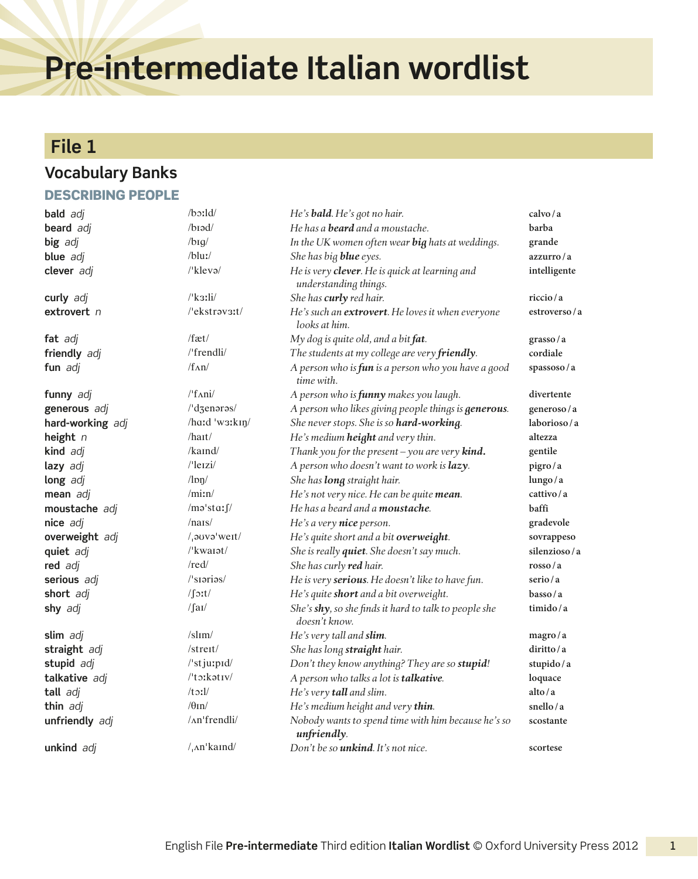# **Pre-intermediate Italian wordlist**

### **File 1**

#### **Vocabulary Banks**

#### Describing people

| bald adj          | $\Delta$ boxld                                      | He's <b>bald</b> . He's got no hair.                                    | calvo/a                   |
|-------------------|-----------------------------------------------------|-------------------------------------------------------------------------|---------------------------|
| <b>beard</b> adj  | $/b$ iəd $/$                                        | He has a <b>beard</b> and a moustache.                                  | barba                     |
| big adj           | $/b \iota q$                                        | In the UK women often wear big hats at weddings.                        | grande                    |
| blue adj          | $/b$ luː/                                           | She has big blue eyes.                                                  | azzurro/a                 |
| clever adj        | $\sqrt{k}$ leva $\sqrt{k}$                          | He is very clever. He is quick at learning and<br>understanding things. | intelligente              |
| curly adj         | $\frac{\text{R}}{\text{S}}$                         | She has curly red hair.                                                 | riccio/a                  |
| extrovert n       | $/$ 'ekstrav3:t/                                    | He's such an extrovert. He loves it when everyone<br>looks at him.      | estroverso/a              |
| fat adj           | $/$ fæt $/$                                         | My dog is quite old, and a bit fat.                                     | grasso/a                  |
| friendly adj      | /'frendli/                                          | The students at my college are very friendly.                           | cordiale                  |
| fun adj           | $/f_{\Lambda}n/$                                    | A person who is fun is a person who you have a good<br>time with.       | spassoso/a                |
| funny adj         | $\frac{1}{\tan i}$                                  | A person who is <b>funny</b> makes you laugh.                           | divertente                |
| generous adj      | /'dzenoros/                                         | A person who likes giving people things is <b>generous</b> .            | generoso/a                |
| hard-working adj  | /hard 'w3rkin/                                      | She never stops. She is so hard-working.                                | laborioso/a               |
| height $n$        | $/h$ a <sub>I</sub> t                               | He's medium height and very thin.                                       | altezza                   |
| kind adj          | $/k$ aind $/$                                       | Thank you for the present - you are very kind.                          | gentile                   |
| lazy adj          | $/$ 'leizi $/$                                      | A person who doesn't want to work is lazy.                              | pigro/a                   |
| long adj          | $/\text{ln}$                                        | She has <b>long</b> straight hair.                                      | lungo/a                   |
| mean adj          | $/$ min $/$                                         | He's not very nice. He can be quite mean.                               | cattivo/a                 |
| moustache adj     | /məˈstaː $\int$ /                                   | He has a beard and a moustache.                                         | baffi                     |
| nice adj          | $/$ nais $/$                                        | He's a very nice person.                                                | gradevole                 |
| overweight adj    | $/$ , a $V$ $\sigma$ $W$ $\sigma$ $t$               | He's quite short and a bit overweight.                                  | sovrappeso                |
| quiet adj         | $\mu$ kwarat/                                       | She is really quiet. She doesn't say much.                              | silenzioso/a              |
| red adj           | /red/                                               | She has curly red hair.                                                 | $\frac{\text{crosso}}{a}$ |
| serious adj       | $\sqrt{\frac{1}{1}}$ siarias/                       | He is very serious. He doesn't like to have fun.                        | serio/a                   |
| short adj         | $\sqrt{\int}$ :t/                                   | He's quite short and a bit overweight.                                  | basso/a                   |
| shy adj           | $\int  a $                                          | She's shy, so she finds it hard to talk to people she<br>doesn't know.  | timido/a                  |
| slim adj          | $/s$ lım $/$                                        | He's very tall and slim.                                                | magro/a                   |
| straight adj      | $/$ streit $/$                                      | She has long straight hair.                                             | diritto/a                 |
| stupid adj        | $\sqrt{\frac{3}{1}}$ st ju:pid $\sqrt{\frac{3}{1}}$ | Don't they know anything? They are so stupid!                           | stupido/a                 |
| talkative adj     | /'to:kativ/                                         | A person who talks a lot is talkative.                                  | loquace                   |
| tall adj          | $/t$ $\mathcal{L}$ $1/$                             | He's very tall and slim.                                                | alto/a                    |
| thin adj          | $/\theta$ In/                                       | He's medium height and very thin.                                       | snello/a                  |
| unfriendly adj    | /An'frendli/                                        | Nobody wants to spend time with him because he's so<br>unfriendly.      | scostante                 |
| <b>unkind</b> adi | $/$ , $\Lambda$ n'kaind/                            | Don't be so <i>unkind</i> . It's not nice.                              | scortese                  |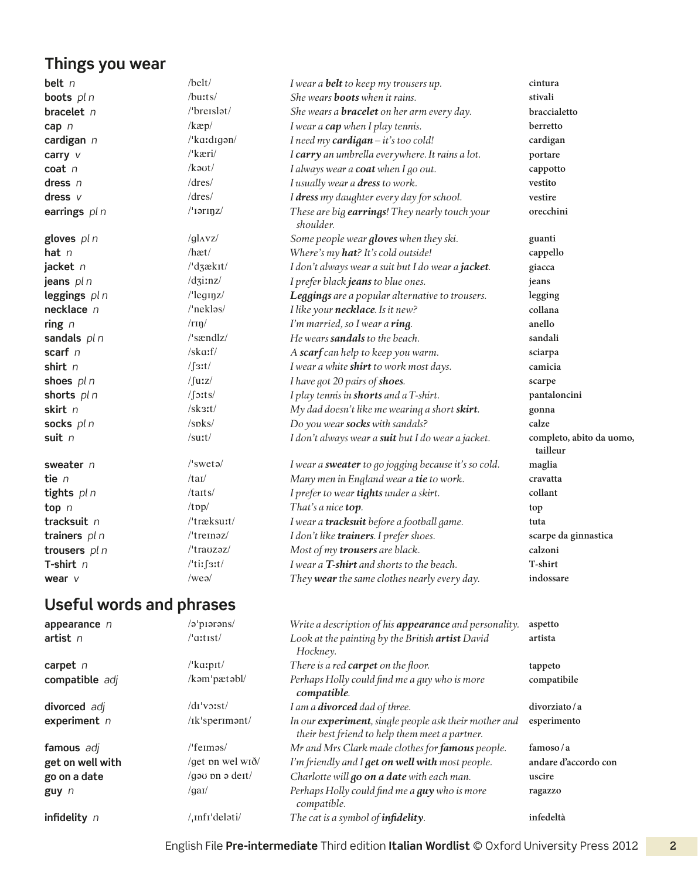## **Things you wear**

| belt $n$                 | $/$ belt $/$                                    | I wear a <b>belt</b> to keep my trousers up.                | cintura                              |
|--------------------------|-------------------------------------------------|-------------------------------------------------------------|--------------------------------------|
| boots pl n               | /buits/                                         | She wears <b>boots</b> when it rains.                       | stivali                              |
| bracelet n               | $/$ breislət $/$                                | She wears a <b>bracelet</b> on her arm every day.           | braccialetto                         |
| cap n                    | $/$ kæp $/$                                     | I wear a cap when I play tennis.                            | berretto                             |
| cardigan n               | /'kaːdɪgən/                                     | I need my cardigan - it's too cold!                         | cardigan                             |
| carry $V$                | /'kæri/                                         | I carry an umbrella everywhere. It rains a lot.             | portare                              |
| $\cot n$                 | $/k$ aut/                                       | I always wear a <b>coat</b> when I go out.                  | cappotto                             |
| dress $n$                | dres/                                           | I usually wear a dress to work.                             | vestito                              |
| dress $V$                | dres/                                           | I dress my daughter every day for school.                   | vestire                              |
| earrings $pln$           | $/$ 'iərinz $/$                                 | These are big earrings! They nearly touch your<br>shoulder. | orecchini                            |
| gloves $pln$             | $/gl$ <sub>Vz</sub> $/$                         | Some people wear gloves when they ski.                      | guanti                               |
| hat $n$                  | /hæt/                                           | Where's my hat? It's cold outside!                          | cappello                             |
| jacket $n$               | $\frac{1}{d}$ dzækit/                           | I don't always wear a suit but I do wear a jacket.          | giacca                               |
| jeans pl n               | $/dz$ inz $/$                                   | I prefer black jeans to blue ones.                          | jeans                                |
| leggings pl n            | $l$ 'leg $\eta$ z/                              | Leggings are a popular alternative to trousers.             | legging                              |
| necklace n               | /'neklas/                                       | I like your necklace. Is it new?                            | collana                              |
| ring $n$                 | /rm/m/                                          | I'm married, so I wear a ring.                              | anello                               |
| sandals $pln$            | /'sændlz/                                       | He wears sandals to the beach.                              | sandali                              |
| scarf $n$                | $/sk$ a:f/                                      | A scarf can help to keep you warm.                          | sciarpa                              |
| shirt $n$                | $\sqrt{\int 3t}$                                | I wear a white shirt to work most days.                     | camicia                              |
| shoes $pln$              | $/\text{Juz}/$                                  | I have got 20 pairs of shoes.                               | scarpe                               |
| shorts pln               | $/$ [ $\text{0}$ :ts/                           | I play tennis in shorts and a T-shirt.                      | pantaloncini                         |
| skirt n                  | $/sk$ 3:t/                                      | My dad doesn't like me wearing a short skirt.               | gonna                                |
| socks pl n               | $/s$ p $ks/$                                    | Do you wear socks with sandals?                             | calze                                |
| suit n                   | /surt/                                          | I don't always wear a suit but I do wear a jacket.          | completo, abito da uomo,<br>tailleur |
| sweater n                | $\sqrt{\frac{1}{2}}$ swetə $\sqrt{\frac{1}{2}}$ | I wear a sweater to go jogging because it's so cold.        | maglia                               |
| tie $n$                  | /taI/                                           | Many men in England wear a tie to work.                     | cravatta                             |
| tights pl n              | $/t$ arts/                                      | I prefer to wear tights under a skirt.                      | collant                              |
| top $n$                  | /top/                                           | That's a nice top.                                          | top                                  |
| tracksuit n              | /'træksuːt/                                     | I wear a tracksuit before a football game.                  | tuta                                 |
| trainers $pln$           | $/$ treinəz $/$                                 | I don't like trainers. I prefer shoes.                      | scarpe da ginnastica                 |
| trousers pl n            | $l$ trauzəz $l$                                 | Most of my trousers are black.                              | calzoni                              |
| T-shirt $n$              | $l$ 'tiːsit/                                    | I wear a T-shirt and shorts to the beach.                   | T-shirt                              |
| wear v                   | $/$ weə $/$                                     | They wear the same clothes nearly every day.                | indossare                            |
| والملامس والمتكافح واللا | ورماني المرمون                                  |                                                             |                                      |

#### **Useful words and phrases**

| appearance $n$   | /a'piarans/                         | Write a description of his appearance and personality.                                                  | aspetto              |
|------------------|-------------------------------------|---------------------------------------------------------------------------------------------------------|----------------------|
| artist $n$       | $\sqrt{a}$ tist $\sqrt{a}$          | Look at the painting by the British artist David<br>Hockney.                                            | artista              |
| carpet $n$       | $\mu$ ka:pit $\mu$                  | There is a red <b>carpet</b> on the floor.                                                              | tappeto              |
| compatible adj   | /kəm'pætəbl/                        | Perhaps Holly could find me a guy who is more<br>compatible.                                            | compatibile          |
| divorced adj     | $\frac{d}{dx}$ voist $\frac{d}{dx}$ | I am a <b>divorced</b> dad of three.                                                                    | divorziato/a         |
| experiment $n$   | $/ik$ 'sperimant/                   | In our experiment, single people ask their mother and<br>their best friend to help them meet a partner. | esperimento          |
| famous adi       | $/$ 'feiməs $/$                     | Mr and Mrs Clark made clothes for famous people.                                                        | famoso/a             |
| get on well with | /qet pn wel wið/                    | I'm friendly and I get on well with most people.                                                        | andare d'accordo con |
| go on a date     | $\gamma$ /gau pn a deit/            | Charlotte will go on a date with each man.                                                              | uscire               |
| $guy$ n          | $\gamma$ qai $\gamma$               | Perhaps Holly could find me a guy who is more<br>compatible.                                            | ragazzo              |
| infidelity $n$   | /ˌɪnfɪˈdeləti/                      | The cat is a symbol of <i>infidelity</i> .                                                              | infedeltà            |

English File **Pre-intermediate** Third edition **Italian Wordlist** © Oxford University Press 2012 2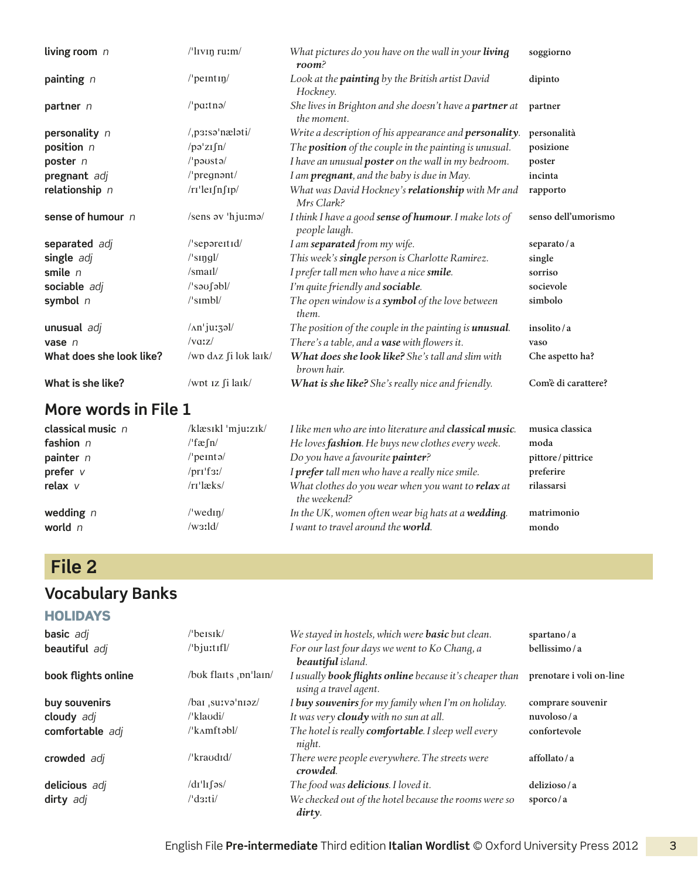| living room $n$          | /'livin ruim/                             | What pictures do you have on the wall in your living<br>room <sup>2</sup>     | soggiorno           |
|--------------------------|-------------------------------------------|-------------------------------------------------------------------------------|---------------------|
| painting n               | $/$ peintin $/$                           | Look at the <b>painting</b> by the British artist David<br>Hockney.           | dipinto             |
| partner n                | $/$ patnə $/$                             | She lives in Brighton and she doesn't have a <b>partner</b> at<br>the moment. | partner             |
| personality n            | $/$ p3 $\iota$ sə'næləti/                 | Write a description of his appearance and <b>personality</b> .                | personalità         |
| position n               | /pq'zIfn/                                 | The <b>position</b> of the couple in the painting is unusual.                 | posizione           |
| poster n                 | /'pausta/                                 | I have an unusual poster on the wall in my bedroom.                           | poster              |
| pregnant adj             | $/$ pregnant $/$                          | I am pregnant, and the baby is due in May.                                    | incinta             |
| relationship n           | /rr'lerfnfip/                             | What was David Hockney's relationship with Mr and<br>Mrs Clark?               | rapporto            |
| sense of humour n        | /sens av 'hju:ma/                         | I think I have a good sense of humour. I make lots of<br>people laugh.        | senso dell'umorismo |
| separated adj            | /'separettId/                             | I am separated from my wife.                                                  | separato/a          |
| single adj               | $\sqrt{\sqrt{2}}$ singl $\sqrt{\sqrt{2}}$ | This week's single person is Charlotte Ramirez.                               | single              |
| smile $n$                | /smail/                                   | I prefer tall men who have a nice smile.                                      | sorriso             |
| sociable adj             | /'saufabl/                                | I'm quite friendly and sociable.                                              | socievole           |
| symbol $n$               | $\sqrt{\sinh(l)}$                         | The open window is a symbol of the love between<br>them.                      | simbolo             |
| unusual adj              | /An'jurzal/                               | The position of the couple in the painting is <b>unusual</b> .                | insolito/a          |
| vase $n$                 | $\sqrt{vqz}/$                             | There's a table, and a vase with flowers it.                                  | vaso                |
| What does she look like? | /wp d^z fi luk laik/                      | <b>What does she look like?</b> She's tall and slim with<br>brown hair.       | Che aspetto ha?     |
| What is she like?        | /wpt Iz fi laik/                          | What is she like? She's really nice and friendly.                             | Com'è di carattere? |

| classical music n | /klæsikl 'mju:zik/                           | I like men who are into literature and <b>classical music</b> .    | musica classica  |
|-------------------|----------------------------------------------|--------------------------------------------------------------------|------------------|
| fashion $n$       | $/\text{fæfn}/$                              | He loves <i>fashion</i> . He buys new clothes every week.          | moda             |
| painter n         | /'peintə/                                    | Do you have a favourite painter?                                   | pittore/pittrice |
| prefer $v$        | $/pr1$ 'f3! $/$                              | I prefer tall men who have a really nice smile.                    | preferire        |
| relax $V$         | $/rr$ <sup><math>\lceil</math></sup> æks $/$ | What clothes do you wear when you want to relax at<br>the weekend? | rilassarsi       |
| wedding $n$       | /'wedin/                                     | In the UK, women often wear big hats at a wedding.                 | matrimonio       |
| world $n$         | $/w$ 3:1d/                                   | I want to travel around the world.                                 | mondo            |

## **File 2**

### **Vocabulary Banks**

#### **HOLIDAYS**

| basic adj           | $/$ beisik $/$         | We stayed in hostels, which were <b>basic</b> but clean.                                | spartano/a               |
|---------------------|------------------------|-----------------------------------------------------------------------------------------|--------------------------|
| beautiful adj       | /'bjuttfl/             | For our last four days we went to Ko Chang, a<br>beautiful island.                      | bellissimo/a             |
| book flights online | /buk flaits , on'lain/ | I usually <b>book flights online</b> because it's cheaper than<br>using a travel agent. | prenotare i voli on-line |
| buy souvenirs       | /bai survə'niəz/       | I buy souvenirs for my family when I'm on holiday.                                      | comprare souvenir        |
| cloudy adj          | /ˈklaʊdi/              | It was very <b>cloudy</b> with no sun at all.                                           | nuvoloso/a               |
| comfortable adj     | $/\mathrm{k}$ Amftabl/ | The hotel is really comfortable. I sleep well every<br>night.                           | confortevole             |
| crowded adj         | /'kraudid/             | There were people everywhere. The streets were<br>crowded.                              | affollato/a              |
| delicious adj       | $\frac{dI'}{dI}$       | The food was <b>delicious</b> . I loved it.                                             | delizioso/a              |
| dirty adj           | /'d <sub>3</sub> ti/   | We checked out of the hotel because the rooms were so<br>dirty.                         | sporco / $a$             |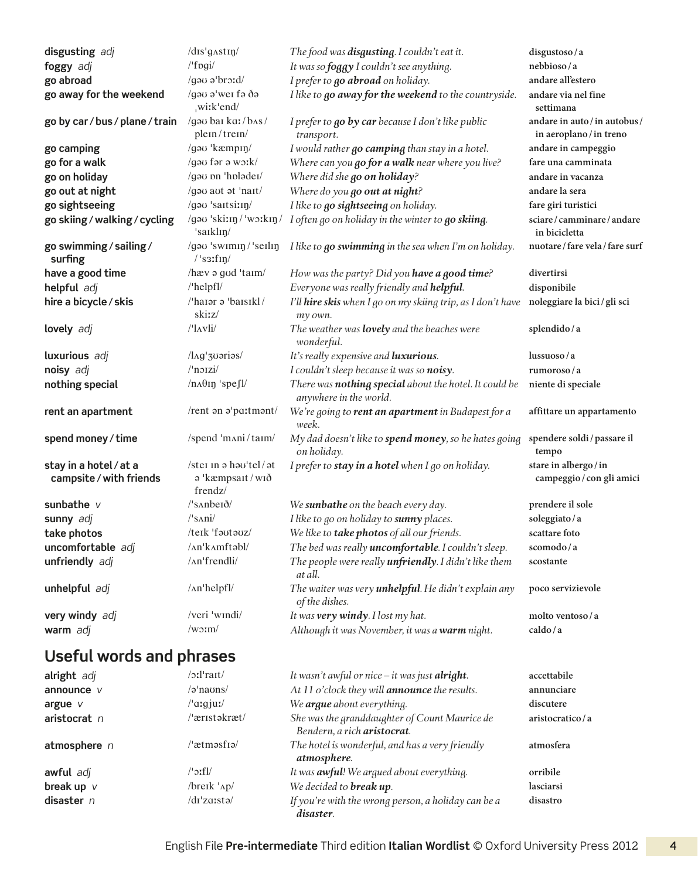| disgusting adj                                    | /dis'gastin/                                                                                                                                                                                                                                                                                                             | The food was <b>disqusting</b> . I couldn't eat it.                              | disgustoso/a                                        |
|---------------------------------------------------|--------------------------------------------------------------------------------------------------------------------------------------------------------------------------------------------------------------------------------------------------------------------------------------------------------------------------|----------------------------------------------------------------------------------|-----------------------------------------------------|
| foggy adj                                         | $l$ 'f pgi $l$                                                                                                                                                                                                                                                                                                           | It was so <i>foggy</i> I couldn't see anything.                                  | nebbioso/a                                          |
| go abroad                                         | /gau a'broid/                                                                                                                                                                                                                                                                                                            | I prefer to go abroad on holiday.                                                | andare all'estero                                   |
| go away for the weekend                           | /gau a'wei fa da                                                                                                                                                                                                                                                                                                         | I like to go away for the weekend to the countryside.                            | andare via nel fine                                 |
|                                                   | wi:k'end/                                                                                                                                                                                                                                                                                                                |                                                                                  | settimana                                           |
| go by car / bus / plane / train                   | /gou bai ka:/b^s/<br>plem/trem/                                                                                                                                                                                                                                                                                          | I prefer to go by car because I don't like public<br>transport.                  | andare in auto/in autobus/<br>in aeroplano/in treno |
| go camping                                        | /gau 'kæmpiŋ/                                                                                                                                                                                                                                                                                                            | I would rather go camping than stay in a hotel.                                  | andare in campeggio                                 |
| go for a walk                                     | /gou for a work/                                                                                                                                                                                                                                                                                                         | Where can you go for a walk near where you live?                                 | fare una camminata                                  |
| go on holiday                                     | /gou on 'holodei/                                                                                                                                                                                                                                                                                                        | Where did she go on holiday?                                                     | andare in vacanza                                   |
| go out at night                                   | /gau aut at 'nait/                                                                                                                                                                                                                                                                                                       | Where do you go out at night?                                                    | andare la sera                                      |
| go sightseeing                                    | /gau 'saitsi:in/                                                                                                                                                                                                                                                                                                         | I like to go sightseeing on holiday.                                             | fare giri turistici                                 |
| go skiing / walking / cycling                     | /gəʊ ˈskiːɪŋ/ ˈwɔːkɪŋ/<br>'saiklin/                                                                                                                                                                                                                                                                                      | I often go on holiday in the winter to go skiing.                                | sciare/camminare/andare<br>in bicicletta            |
| go swimming / sailing /<br>surfing                | /gau 'swimin / 'seilin<br>$/$ 's3:f $\text{in}/$                                                                                                                                                                                                                                                                         | I like to go swimming in the sea when I'm on holiday.                            | nuotare / fare vela / fare surf                     |
| have a good time                                  | /hæv ə gud 'taım/                                                                                                                                                                                                                                                                                                        | How was the party? Did you have a good time?                                     | divertirsi                                          |
| helpful adj                                       | /'helpfl/                                                                                                                                                                                                                                                                                                                | Everyone was really friendly and helpful.                                        | disponibile                                         |
| hire a bicycle / skis                             | /'harar a 'barsikl/                                                                                                                                                                                                                                                                                                      | I'll hire skis when I go on my skiing trip, as I don't have                      | noleggiare la bici / gli sci                        |
|                                                   | skiz/                                                                                                                                                                                                                                                                                                                    | my own.                                                                          |                                                     |
| lovely adj                                        | $/$ 'l $\Delta$ vli $/$                                                                                                                                                                                                                                                                                                  | The weather was <b>lovely</b> and the beaches were<br>wonderful.                 | splendido/a                                         |
| luxurious adj                                     | /l^g'30arias/                                                                                                                                                                                                                                                                                                            | It's really expensive and luxurious.                                             | lussuoso/a                                          |
| noisy adj                                         | $/$ norzi $/$                                                                                                                                                                                                                                                                                                            | I couldn't sleep because it was so noisy.                                        | rumoroso/a                                          |
| nothing special                                   | $/n_A\theta$ in 'spe $Jl$                                                                                                                                                                                                                                                                                                | There was nothing special about the hotel. It could be<br>anywhere in the world. | niente di speciale                                  |
| rent an apartment                                 | /rent an a'partmant/                                                                                                                                                                                                                                                                                                     | We're going to rent an apartment in Budapest for a<br>week.                      | affittare un appartamento                           |
| spend money / time                                | /spend 'mʌni/taɪm/                                                                                                                                                                                                                                                                                                       | My dad doesn't like to spend money, so he hates going<br>on holiday.             | spendere soldi / passare il<br>tempo                |
| stay in a hotel / at a<br>campsite / with friends | /stei in a hau'tel/at<br>a 'kæmpsart / wrð<br>frendz/                                                                                                                                                                                                                                                                    | I prefer to stay in a hotel when I go on holiday.                                | stare in albergo/in<br>campeggio / con gli amici    |
| sunbathe $V$                                      | $\sqrt{\sinh^{-1}(\sinh^{-1}(\cosh^{-1}(\cosh^{-1}(\cosh^{-1}(\cosh^{-1}(\cosh^{-1}(\cosh^{-1}(\cosh^{-1}(\cosh^{-1}(\cosh^{-1}(\cosh^{-1}(\cosh^{-1}(\cosh^{-1}(\cosh^{-1}(\cosh^{-1}(\cosh^{-1}(\cosh^{-1}(\cosh^{-1}(\cosh^{-1}(\cosh^{-1}(\cosh^{-1}(\cosh^{-1}(\cosh^{-1}(\cosh^{-1}(\cosh^{-1}(\cosh^2(2s)))))))}$ | We sunbathe on the beach every day.                                              | prendere il sole                                    |
| sunny adj                                         | $\sqrt{\sinh}$                                                                                                                                                                                                                                                                                                           | I like to go on holiday to sunny places.                                         | soleggiato/a                                        |
| take photos                                       | /teik 'fautauz/                                                                                                                                                                                                                                                                                                          | We like to take photos of all our friends.                                       | scattare foto                                       |
| uncomfortable adj                                 | /An'kAmftəbl/                                                                                                                                                                                                                                                                                                            | The bed was really <i>uncomfortable</i> . I couldn't sleep.                      | scomodo/a                                           |
| unfriendly adj                                    | /An'frendli/                                                                                                                                                                                                                                                                                                             | The people were really <i>unfriendly</i> . I didn't like them<br>at all.         | scostante                                           |
| unhelpful adj                                     | $/$ An'helpfl $/$                                                                                                                                                                                                                                                                                                        | The waiter was very <i>unhelpful</i> . He didn't explain any<br>of the dishes.   | poco servizievole                                   |
| very windy adj                                    | /veri 'windi/                                                                                                                                                                                                                                                                                                            | It was very windy. I lost my hat.                                                | molto ventoso/a                                     |
| warm adj                                          | $/w0$ :m/                                                                                                                                                                                                                                                                                                                | Although it was November, it was a warm night.                                   | caldo/a                                             |
| Useful words and phrases                          |                                                                                                                                                                                                                                                                                                                          |                                                                                  |                                                     |
| alright adj                                       | $/$ oːl $'$ rait $/$                                                                                                                                                                                                                                                                                                     | It wasn't awful or nice - it was just alright.                                   | accettabile                                         |
| announce $V$                                      | /a'naons/                                                                                                                                                                                                                                                                                                                | At 11 o'clock they will <i>announce</i> the results.                             | annunciare                                          |
|                                                   |                                                                                                                                                                                                                                                                                                                          |                                                                                  |                                                     |

| /əˈnaʊns/             | At 11 o'clock they will <b>announce</b> the results.                         | annunciare      |
|-----------------------|------------------------------------------------------------------------------|-----------------|
| /'aːqjuː/             | We argue about everything.                                                   | discutere       |
| /ˈærɪstəkræt/         | She was the granddaughter of Count Maurice de<br>Bendern, a rich aristocrat. | aristocratico/a |
| /ˈætməsfɪə/           | The hotel is wonderful, and has a very friendly<br>atmosphere.               | atmosfera       |
| /'ɔːfl/               | It was <b>awful</b> ! We argued about everything.                            | orribile        |
| $/$ breik $\Delta p/$ | We decided to <b>break up</b> .                                              | lasciarsi       |
| /dɪˈzɑːstə/           | If you're with the wrong person, a holiday can be a<br>disaster.             | disastro        |
|                       |                                                                              |                 |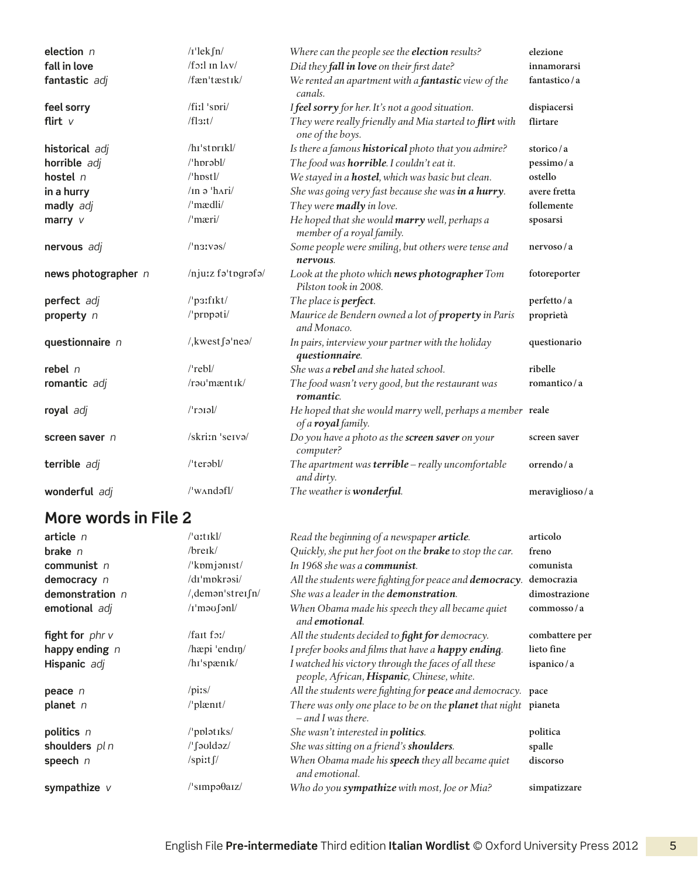| election n          | $/I$ 'lek $fn/$                                 | Where can the people see the election results?                                   | elezione       |
|---------------------|-------------------------------------------------|----------------------------------------------------------------------------------|----------------|
| fall in love        | $/f$ 3:1 in $l$ $\Lambda$ v $/$                 | Did they fall in love on their first date?                                       | innamorarsi    |
| fantastic adj       | /fæn'tæstik/                                    | We rented an apartment with a fantastic view of the<br>canals.                   | fantastico/a   |
| feel sorry          | $/$ fiːl 'spri $/$                              | I feel sorry for her. It's not a good situation.                                 | dispiacersi    |
| flirt $v$           | $/$ fl <sub>3</sub> :t $/$                      | They were really friendly and Mia started to flirt with<br>one of the boys.      | flirtare       |
| historical adj      | $\frac{h_1}{\text{strark}}$                     | Is there a famous historical photo that you admire?                              | storico/a      |
| horrible adj        | /'hprabl/                                       | The food was horrible. I couldn't eat it.                                        | pessimo/a      |
| hostel $n$          | /'hpstl/                                        | We stayed in a hostel, which was basic but clean.                                | ostello        |
| in a hurry          | $/$ In ə $^{\prime}$ h $\Lambda$ ri $/$         | She was going very fast because she was in a hurry.                              | avere fretta   |
| madly adj           | $/$ 'mædli $/$                                  | They were madly in love.                                                         | follemente     |
| marry $V$           | $/$ mæri $/$                                    | He hoped that she would marry well, perhaps a<br>member of a royal family.       | sposarsi       |
| nervous adj         | $/\text{nsv}$                                   | Some people were smiling, but others were tense and<br>nervous.                  | nervoso/a      |
| news photographer n | /njuːz fəˈtɒgrəfə/                              | Look at the photo which news photographer Tom<br>Pilston took in 2008.           | fotoreporter   |
| perfect adj         | /'p3:fikt/                                      | The place is perfect.                                                            | perfetto/a     |
| property n          | /'propoti/                                      | Maurice de Bendern owned a lot of property in Paris<br>and Monaco.               | proprietà      |
| questionnaire n     | $/$ <sub>k</sub> west $\int$ <sup>o</sup> 'neə/ | In pairs, interview your partner with the holiday<br>questionnaire.              | questionario   |
| rebel $n$           | $/$ rebl $/$                                    | She was a <b>rebel</b> and she hated school.                                     | ribelle        |
| romantic adj        | /rau'mæntik/                                    | The food wasn't very good, but the restaurant was<br>romantic.                   | romantico/a    |
| royal adj           | $l'$ roial/                                     | He hoped that she would marry well, perhaps a member reale<br>of a royal family. |                |
| screen saver n      | /skritn 'serva/                                 | Do you have a photo as the screen saver on your<br>computer?                     | screen saver   |
| terrible adj        | $/$ 'terəbl $/$                                 | The apartment was <b>terrible</b> $-$ really uncomfortable<br>and dirty.         | orrendo/a      |
| wonderful adj       | $\mu$ w $\Lambda$ ndəfl $\mu$                   | The weather is wonderful.                                                        | meraviglioso/a |

| article $n$              | /'aːtɪkl/                                  | Read the beginning of a newspaper article.                                                         | articolo       |
|--------------------------|--------------------------------------------|----------------------------------------------------------------------------------------------------|----------------|
| brake $n$                | $/$ breik $/$                              | Quickly, she put her foot on the <b>brake</b> to stop the car.                                     | freno          |
| communist $n$            | $\mu$ komjanist/                           | In 1968 she was a <b>communist</b> .                                                               | comunista      |
| democracy n              | /dɪˈmpkrəsi/                               | All the students were fighting for peace and democracy.                                            | democrazia     |
| demonstration $n$        | $/$ , demon'strei $\int n/$                | She was a leader in the <b>demonstration</b> .                                                     | dimostrazione  |
| emotional adj            | $\pi$ 'mə $\sigma$ [ənl/                   | When Obama made his speech they all became quiet<br>and <b>emotional</b> .                         | commosso/a     |
| <b>fight for</b> phr $v$ | $/$ fait for $/$                           | All the students decided to <b>fight for</b> democracy.                                            | combattere per |
| happy ending $n$         | /hæpi 'endin                               | I prefer books and films that have a happy ending.                                                 | lieto fine     |
| Hispanic adj             | /hi'spænik/                                | I watched his victory through the faces of all these<br>people, African, Hispanic, Chinese, white. | ispanico/a     |
| peace n                  | $\sqrt{p}$ is/                             | All the students were fighting for peace and democracy. pace                                       |                |
| planet $n$               | $\theta$ plant                             | There was only one place to be on the planet that night pianeta<br>$-$ and I was there.            |                |
| politics n               | $/$ pplətiks/                              | She wasn't interested in <b>politics</b> .                                                         | politica       |
| shoulders pl n           | /ˈʃəʊldəz/                                 | She was sitting on a friend's shoulders.                                                           | spalle         |
| speech n                 | /spirt $\int$                              | When Obama made his speech they all became quiet<br>and emotional.                                 | discorso       |
| sympathize $V$           | $\frac{1}{\sin\theta}$ simpə $\theta$ aiz/ | Who do you sympathize with most, Joe or Mia?                                                       | simpatizzare   |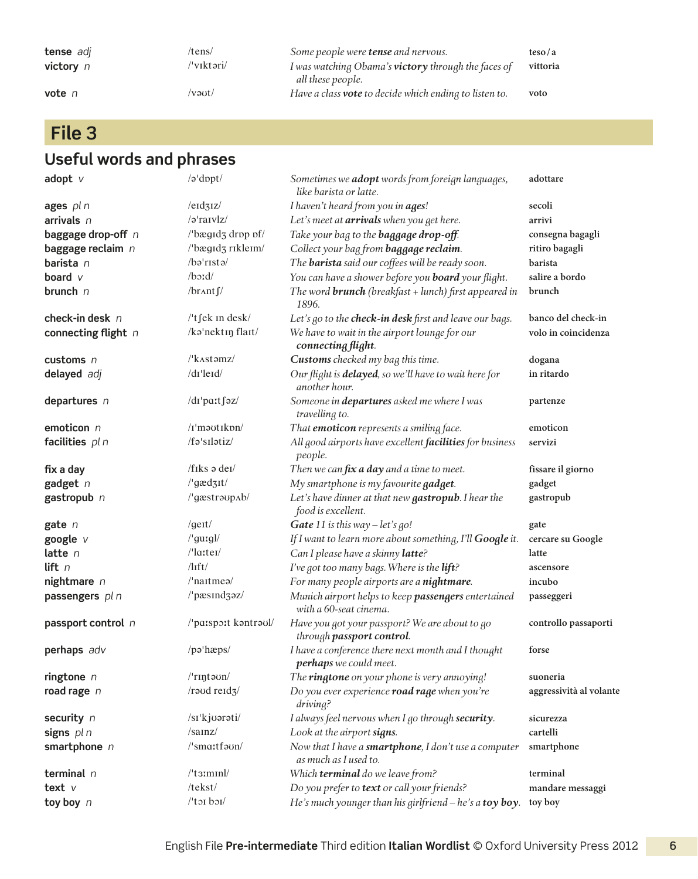| tense adj<br>victory n | /tens/<br>/ˈvɪktəri/ | Some people were <b>tense</b> and nervous.<br>I was watching Obama's <b>victory</b> through the faces of<br>all these people. | $t\neso/a$<br>vittoria |
|------------------------|----------------------|-------------------------------------------------------------------------------------------------------------------------------|------------------------|
| vote $n$               | /vəut/               | Have a class <b>vote</b> to decide which ending to listen to.                                                                 | voto                   |

**File 3**

| adopt $v$           | /a'dopt/                                          | Sometimes we adopt words from foreign languages,<br>like barista or latte.    | adottare                |
|---------------------|---------------------------------------------------|-------------------------------------------------------------------------------|-------------------------|
| ages $pln$          | $/$ e $\frac{1}{3}$ $\frac{1}{2}$                 | I haven't heard from you in ages!                                             | secoli                  |
| arrivals $n$        | $\sqrt{2}$ 'raivlz/                               | Let's meet at arrivals when you get here.                                     | arrivi                  |
| baggage drop-off n  | /'bægɪdʒ drɒp ɒf/                                 | Take your bag to the <b>baggage drop-off</b> .                                | consegna bagagli        |
| baggage reclaim n   | /'bægɪdʒ rɪkleɪm/                                 | Collect your bag from baggage reclaim.                                        | ritiro bagagli          |
| barista n           | /bə'rıstə/                                        | The <b>barista</b> said our coffees will be ready soon.                       | barista                 |
| board $\nu$         | $/b$ ord/                                         | You can have a shower before you <b>board</b> your flight.                    | salire a bordo          |
| brunch n            | $/$ br $\Lambda$ nt $\int$ /                      | The word <b>brunch</b> (breakfast + lunch) first appeared in<br>1896.         | brunch                  |
| check-in desk $n$   | /'t fek in desk/                                  | Let's go to the check-in desk first and leave our bags.                       | banco del check-in      |
| connecting flight n | /ka'nektin flait/                                 | We have to wait in the airport lounge for our<br>connecting flight.           | volo in coincidenza     |
| customs $n$         |                                                   | Customs checked my bag this time.                                             | dogana                  |
| delayed adj         | /dr'leid/                                         | Our flight is delayed, so we'll have to wait here for<br>another hour.        | in ritardo              |
| departures $n$      | /dɪ'paːtʃəz/                                      | Someone in <b>departures</b> asked me where I was<br>travelling to.           | partenze                |
| emoticon $n$        | /I'mautiknn/                                      | That emoticon represents a smiling face.                                      | emoticon                |
| facilities $pln$    | /fə'sılətiz/                                      | All good airports have excellent facilities for business<br>people.           | servizi                 |
| fix a day           | $/f$ <sub>I</sub> $ks \theta$ de <sub>I</sub> $/$ | Then we can fix a day and a time to meet.                                     | fissare il giorno       |
| gadget $n$          | /'gædzɪt/                                         | My smartphone is my favourite gadget.                                         | gadget                  |
| gastropub n         | /'gæstraupAb/                                     | Let's have dinner at that new gastropub. I hear the<br>food is excellent.     | gastropub               |
| gate n              | /geit/                                            | Gate 11 is this way - let's go!                                               | gate                    |
| google v            | /'guːgl/                                          | If I want to learn more about something, I'll Google it.                      | cercare su Google       |
| latte $n$           | $\sqrt{2}$ la:ter/                                | Can I please have a skinny latte?                                             | latte                   |
| lift $n$            | $\frac{1}{1}$                                     | I've got too many bags. Where is the lift?                                    | ascensore               |
| nightmare $n$       | $/$ 'naitmes $/$                                  | For many people airports are a nightmare.                                     | incubo                  |
| passengers pl n     | /'pæsind3əz/                                      | Munich airport helps to keep passengers entertained<br>with a 60-seat cinema. | passeggeri              |
| passport control n  | /'paːspɔːt kəntrəul/                              | Have you got your passport? We are about to go<br>through passport control.   | controllo passaporti    |
| perhaps adv         | /pəˈhæps/                                         | I have a conference there next month and I thought<br>perhaps we could meet.  | forse                   |
| ringtone $n$        | /'rɪŋtəʊn/                                        | The ringtone on your phone is very annoying!                                  | suoneria                |
| road rage $n$       | /roud reid3/                                      | Do you ever experience road rage when you're<br>driving?                      | aggressività al volante |
| security n          | /sɪ'kjʊərəti/                                     | I always feel nervous when I go through security.                             | sicurezza               |
| signs pl n          | /sannz/                                           | Look at the airport signs.                                                    | cartelli                |
| smartphone $n$      | /'smaːtfəon/                                      | Now that I have a smartphone, I don't use a computer<br>as much as I used to. | smartphone              |
| terminal $n$        | $l$ 't $\frac{3}{1}$ minl/                        | Which terminal do we leave from?                                              | terminal                |
| text $V$            | /tekst/                                           | Do you prefer to text or call your friends?                                   | mandare messaggi        |
| toy boy n           | $l$ toi boi $l$                                   | He's much younger than his girlfriend – he's a toy boy.                       | toy boy                 |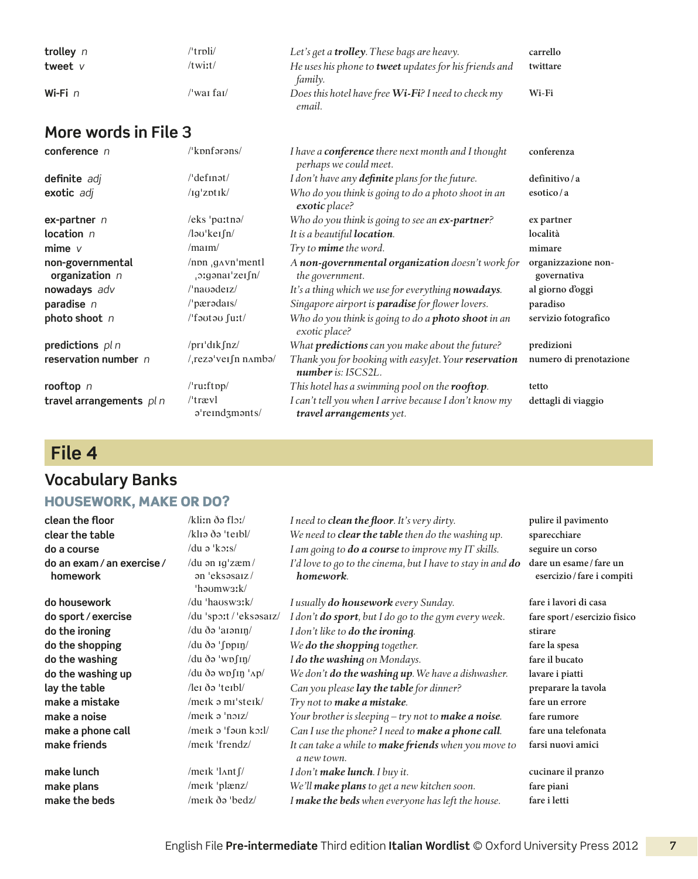| trolley $n$ | 'trpli/    | Let's get a <b>trolley</b> . These bags are heavy.            | carrello |
|-------------|------------|---------------------------------------------------------------|----------|
| tweet $V$   | /twiːt/    | He uses his phone to <b>tweet</b> updates for his friends and | twittare |
|             |            | family.                                                       |          |
| Wi-Fi $n$   | /ˈwaɪ faɪ/ | Does this hotel have free Wi-Fi? I need to check my           | Wi-Fi    |
|             |            | email.                                                        |          |

| conference n                         | /'kpnfarans/                                              | I have a <b>conference</b> there next month and I thought<br>perhaps we could meet. | conferenza                         |
|--------------------------------------|-----------------------------------------------------------|-------------------------------------------------------------------------------------|------------------------------------|
| definite adj                         | /'definət/                                                | I don't have any definite plans for the future.                                     | definitivo/a                       |
| exotic adj                           | $\sqrt{q}$ zotik $\sqrt{q}$                               | Who do you think is going to do a photo shoot in an<br>exotic place?                | esotico/a                          |
| ex-partner $n$                       | $/eks$ 'partna/                                           | Who do you think is going to see an ex-partner?                                     | ex partner                         |
| location $n$                         | $\sqrt{2}$ lə $\sigma$ 'ker $\int$ n/                     | It is a beautiful location.                                                         | località                           |
| mime $\nu$                           | $/$ ma <sub>Im</sub> $/$                                  | Try to <i>mime</i> the word.                                                        | mimare                             |
| non-governmental<br>organization $n$ | $/$ non $.$ g $\alpha$ vn'mentl<br>$\sigma$ ganar'zership | A non-governmental organization doesn't work for<br>the government.                 | organizzazione non-<br>governativa |
| nowadays adv                         | /'navadeiz/                                               | It's a thing which we use for everything nowadays.                                  | al giorno d'oggi                   |
| paradise n                           | $\alpha$ pærodars/                                        | Singapore airport is <b>paradise</b> for flower lovers.                             | paradiso                           |
| photo shoot n                        | /'fautau furt/                                            | Who do you think is going to do a photo shoot in an<br>exotic place?                | servizio fotografico               |
| predictions $pln$                    | / $pr1$ 'dik $\int nz$ /                                  | What predictions can you make about the future?                                     | predizioni                         |
| reservation number n                 | $/$ rezə'vei fin n $\Delta$ mbə $/$                       | Thank you for booking with easyJet. Your reservation<br>$number$ is: $ISCS2L$ .     | numero di prenotazione             |
| rooftop n                            | $/$ ru:ftpp $/$                                           | This hotel has a swimming pool on the rooftop.                                      | tetto                              |
| travel arrangements $pln$            | $/$ trævl<br>$\sigma$ 'reind $\sigma$ m $\sigma$ nts/     | I can't tell you when I arrive because I don't know my<br>travel arrangements yet.  | dettagli di viaggio                |

### **File 4**

#### **Vocabulary Banks**

#### Housework, make or do?

**do an exam/ an exercise/ homework**

/du ən ɪɡˈzæm /  ən ˈeksəsaɪz /  ˈhəʊmwɜːk/ **do housework** /du ˈhaʊswɜːk/ *I usually do housework every Sunday.* **fare i lavori di casa**

**clean the floor** /kliːn ðə flɔː/ *I need to clean the floor. It's very dirty.* **pulire il pavimento clear the table** /klɪə ðə ˈteɪbl/ *We need to clear the table then do the washing up.* **sparecchiare do a course** /du ə ˈkɔːs/ *I am going to do a course to improve my IT skills.* **seguire un corso** *I'd love to go to the cinema, but I have to stay in and do homework.*

**do sport / exercise** /du ˈspɔːt / ˈeksəsaɪz/ *I don't do sport, but I do go to the gym every week.* **fare sport/ esercizio fisico do the ironing** /du ðə ˈaɪənɪŋ/ *I don't like to do the ironing.* **stirare do the shopping** /du ðə ˈʃɒpɪŋ/ *We do the shopping together.* **fare la spesa do the washing**  $\frac{d}{dx}$   $\frac{d}{dx}$   $\frac{d}{dx}$   $\frac{d}{dx}$   $\frac{d}{dx}$  *I do the washing on Mondays.* **fare il bucato do the washing up** /du ðə wɒʃɪŋ ˈʌp/ *We don't do the washing up. We have a dishwasher.* **lavare i piatti lay the table** /leɪ ðə ˈteɪbl/ *Can you please lay the table for dinner?* **preparare la tavola make a mistake** /meɪk ə mɪˈsteɪk/ *Try not to make a mistake.* **fare un errore make a noise** /meɪk ə ˈnɔɪz/ *Your brother is sleeping – try not to make a noise.* **fare rumore make a phone call** /meɪk ə ˈfəʊn kɔːl/ *Can I use the phone? I need to make a phone call.* **fare una telefonata make friends** /meɪk ˈfrendz/ *It can take a while to make friends when you move to a new town.* **make lunch** /meɪk ˈlʌntʃ/ *I don't make lunch. I buy it.* **cucinare il pranzo make plans** /meɪk ˈplænz/ *We'll make plans to get a new kitchen soon.* **fare piani**

**make the beds** /meɪk ðə ˈbedz/ *I make the beds when everyone has left the house.* **fare i letti**

**dare un esame / fare un esercizio/ fare i compiti**

**farsi nuovi amici**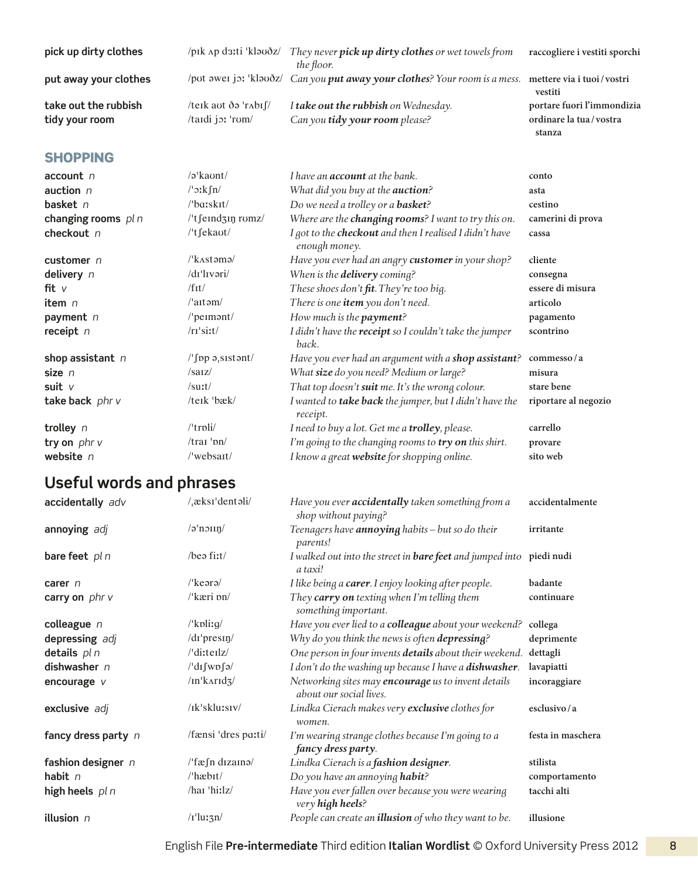| pick up dirty clothes                  | /pīk ap da:ti 'kləʊðz/                        | They never pick up dirty clothes or wet towels from<br>the floor.                                    | raccogliere i vestiti sporchi                                  |
|----------------------------------------|-----------------------------------------------|------------------------------------------------------------------------------------------------------|----------------------------------------------------------------|
| put away your clothes                  |                                               | /put awei jo: 'klaudz/ Can you put away your clothes? Your room is a mess. mettere via i tuoi/vostri | vestiti                                                        |
| take out the rubbish<br>tidy your room | /teik aut ðə 'r^bis<br>$/$ tardi jo: 'rum $/$ | I take out the rubbish on Wednesday.<br>Can you tidy your room please?                               | portare fuori l'immondizia<br>ordinare la tua/vostra<br>stanza |

#### **SHOPPING**

| $account$ $n$        | $\sqrt{2}$ kaunt/                       | I have an <b>account</b> at the bank.                                      | conto                |
|----------------------|-----------------------------------------|----------------------------------------------------------------------------|----------------------|
| auction $n$          | $/$ ' $\sigma$ $kfn/$                   | What did you buy at the <b>auction</b> ?                                   | asta                 |
| basket $n$           | $\theta$ barskit/                       | Do we need a trolley or a <b>basket</b> ?                                  | cestino              |
| changing rooms $pln$ | /'t feindzin romz/                      | Where are the <b>changing rooms</b> ? I want to try this on.               | camerini di prova    |
| checkout n           | $l$ <sup>t</sup> fekaut/                | I got to the checkout and then I realised I didn't have<br>enough money.   | cassa                |
| customer $n$         | $\frac{\textit{N}}{\textit{K}}$ Astama  | Have you ever had an angry <b>customer</b> in your shop?                   | cliente              |
| delivery n           | /di'livəri/                             | When is the <b>delivery</b> coming?                                        | consegna             |
| fit $v$              | /fit/                                   | These shoes don't fit. They're too big.                                    | essere di misura     |
| item $n$             | $/$ aitəm $/$                           | There is one item you don't need.                                          | articolo             |
| payment n            | $/$ 'peimant/                           | How much is the payment?                                                   | pagamento            |
| receipt $n$          | $/rr$ 'siːt $/$                         | I didn't have the <b>receipt</b> so I couldn't take the jumper<br>back.    | scontrino            |
| shop assistant $n$   | $\sqrt{\pi}$ pp ə <sub>i</sub> sistənt/ | Have you ever had an argument with a shop assistant?                       | commesso/a           |
| size $n$             | $/s$ arz $/$                            | What size do you need? Medium or large?                                    | misura               |
| suit $V$             | /surt/                                  | That top doesn't suit me. It's the wrong colour.                           | stare bene           |
| take back phr v      | /teik 'bæk/                             | I wanted to <b>take back</b> the jumper, but I didn't have the<br>receipt. | riportare al negozio |
| trolley $n$          | $l$ trpli $l$                           | I need to buy a lot. Get me a <b>trolley</b> , please.                     | carrello             |
| try on $phr$ v       | $/$ trai 'pn $/$                        | I'm going to the changing rooms to try on this shirt.                      | provare              |
| website $n$          | /'websait/                              | I know a great website for shopping online.                                | sito web             |

## **Useful words and phrases**

| /əˈnɔ $\sup$ /<br>annoying adj<br>Teenagers have <b>annoying</b> habits – but so do their<br>irritante<br>parents!<br>$/$ beə fiːt $/$<br>bare feet pln<br>I walked out into the street in <b>bare feet</b> and jumped into piedi nudi<br>a taxi!<br>$\sqrt{k}$ eərə $\sqrt{k}$<br>I like being a <b>carer</b> . I enjoy looking after people.<br>badante<br>carer $n$<br>$\frac{\text{R}}{\text{kari}}$ pn $\frac{\text{R}}{\text{R}}$<br>They carry on texting when I'm telling them<br>carry on $phr$ v<br>continuare<br>something important.<br>colleague $n$<br>$\sqrt{k}$ plitg $\sqrt{k}$<br>Have you ever lied to a colleague about your weekend?<br>collega<br>depressing adj<br>/dɪ'presɪŋ/<br>Why do you think the news is often depressing?<br>deprimente<br>details $pln$<br>/ditteriz/<br>One person in four invents details about their weekend.<br>dettagli<br>dishwasher $n$<br>$\frac{d}{d}$ /'difwpfa $\frac{d}{d}$<br>I don't do the washing up because I have a <b>dishwasher</b> .<br>lavapiatti |
|------------------------------------------------------------------------------------------------------------------------------------------------------------------------------------------------------------------------------------------------------------------------------------------------------------------------------------------------------------------------------------------------------------------------------------------------------------------------------------------------------------------------------------------------------------------------------------------------------------------------------------------------------------------------------------------------------------------------------------------------------------------------------------------------------------------------------------------------------------------------------------------------------------------------------------------------------------------------------------------------------------------------|
|                                                                                                                                                                                                                                                                                                                                                                                                                                                                                                                                                                                                                                                                                                                                                                                                                                                                                                                                                                                                                        |
|                                                                                                                                                                                                                                                                                                                                                                                                                                                                                                                                                                                                                                                                                                                                                                                                                                                                                                                                                                                                                        |
|                                                                                                                                                                                                                                                                                                                                                                                                                                                                                                                                                                                                                                                                                                                                                                                                                                                                                                                                                                                                                        |
|                                                                                                                                                                                                                                                                                                                                                                                                                                                                                                                                                                                                                                                                                                                                                                                                                                                                                                                                                                                                                        |
|                                                                                                                                                                                                                                                                                                                                                                                                                                                                                                                                                                                                                                                                                                                                                                                                                                                                                                                                                                                                                        |
|                                                                                                                                                                                                                                                                                                                                                                                                                                                                                                                                                                                                                                                                                                                                                                                                                                                                                                                                                                                                                        |
|                                                                                                                                                                                                                                                                                                                                                                                                                                                                                                                                                                                                                                                                                                                                                                                                                                                                                                                                                                                                                        |
|                                                                                                                                                                                                                                                                                                                                                                                                                                                                                                                                                                                                                                                                                                                                                                                                                                                                                                                                                                                                                        |
| /In'karid3/<br>Networking sites may encourage us to invent details<br>incoraggiare<br>encourage $V$<br>about our social lives.                                                                                                                                                                                                                                                                                                                                                                                                                                                                                                                                                                                                                                                                                                                                                                                                                                                                                         |
| /ik'sklu:siv/<br>Lindka Cierach makes very exclusive clothes for<br>exclusive adj<br>esclusivo/a<br>women.                                                                                                                                                                                                                                                                                                                                                                                                                                                                                                                                                                                                                                                                                                                                                                                                                                                                                                             |
| /fænsi 'dres paːti/<br>fancy dress party n<br>I'm wearing strange clothes because I'm going to a<br>festa in maschera<br>fancy dress party.                                                                                                                                                                                                                                                                                                                                                                                                                                                                                                                                                                                                                                                                                                                                                                                                                                                                            |
| /'fæfn dizainə/<br>fashion designer n<br>Lindka Cierach is a fashion designer.<br>stilista                                                                                                                                                                                                                                                                                                                                                                                                                                                                                                                                                                                                                                                                                                                                                                                                                                                                                                                             |
| $/$ hæb $t/$<br>habit $n$<br>Do you have an annoying habit?<br>comportamento                                                                                                                                                                                                                                                                                                                                                                                                                                                                                                                                                                                                                                                                                                                                                                                                                                                                                                                                           |
| /har 'hi:lz/<br>Have you ever fallen over because you were wearing<br>tacchi alti<br>high heels pl n<br>very high heels?                                                                                                                                                                                                                                                                                                                                                                                                                                                                                                                                                                                                                                                                                                                                                                                                                                                                                               |
| illusion n<br>$/1$ 'lu: $\frac{3n}{ }$<br>People can create an <b>illusion</b> of who they want to be.<br>illusione                                                                                                                                                                                                                                                                                                                                                                                                                                                                                                                                                                                                                                                                                                                                                                                                                                                                                                    |

English File **Pre-intermediate** Third edition **Italian Wordlist** © Oxford University Press 2012 8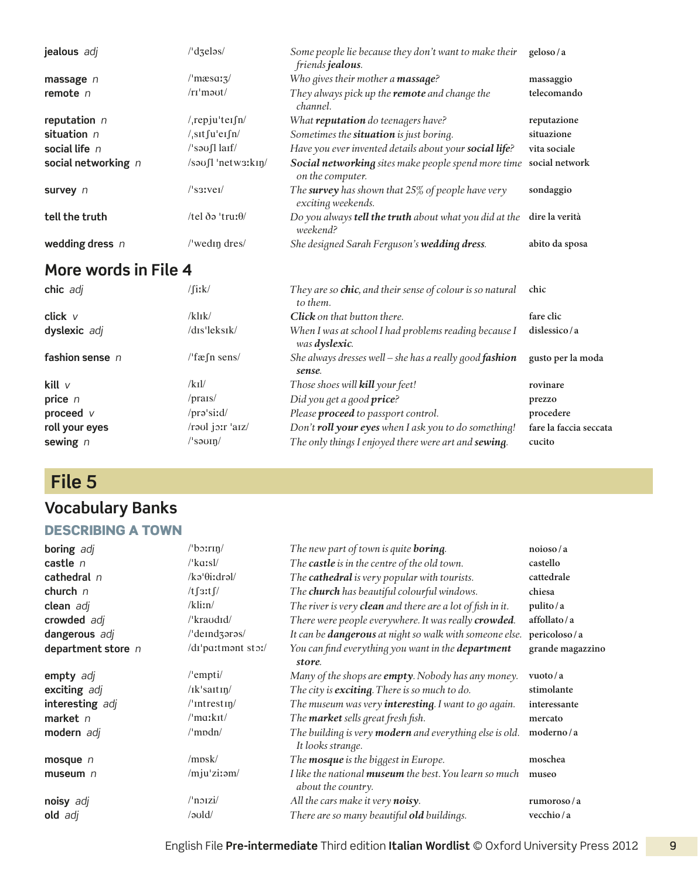| jealous adj           | $\frac{1}{d}$ dzeləs $\frac{1}{d}$ | Some people lie because they don't want to make their<br>friends jealous.  | geloso/a       |
|-----------------------|------------------------------------|----------------------------------------------------------------------------|----------------|
| massage $n$           | $\sqrt{\text{massa}}$              | Who gives their mother a massage?                                          | massaggio      |
| remote $n$            | $/rr'm$ <sup>2</sup>               | They always pick up the <b>remote</b> and change the<br>channel.           | telecomando    |
| reputation $n$        | $/$ , rep ju'ter $\int$ n/         | What <b>reputation</b> do teenagers have?                                  | reputazione    |
| situation $n$         | $/$ , sit fu'ei fn/                | Sometimes the situation is just boring.                                    | situazione     |
| social life $n$       | $\sqrt{3}$ saufl larf              | Have you ever invented details about your social life?                     | vita sociale   |
| social networking $n$ | $/s$ <sup>1</sup> netw3: $k$ In/   | Social networking sites make people spend more time<br>on the computer.    | social network |
| survey n              | $\sqrt{3}$ ssivei $\sqrt{2}$       | The survey has shown that $25\%$ of people have very<br>exciting weekends. | sondaggio      |
| tell the truth        | /tel ðə 'truː $\theta$ /           | Do you always <b>tell the truth</b> about what you did at the<br>weekend?  | dire la verità |
| wedding dress $n$     | /'wedin dres/                      | She designed Sarah Ferguson's wedding dress.                               | abito da sposa |
| . .                   |                                    |                                                                            |                |

| chic adj        | $/$ fiːk $/$                  | They are so chic, and their sense of colour is so natural<br>to them.          | chic                   |
|-----------------|-------------------------------|--------------------------------------------------------------------------------|------------------------|
| click v         | $/k$ l $\frac{1}{k}$          | <b>Click</b> on that button there.                                             | fare clic              |
| dyslexic adj    | $/dis$ <sup>'</sup> $leksik/$ | When I was at school I had problems reading because I<br>was <b>dyslexic</b> . | dislessico/a           |
| fashion sense n | $l$ fæ $\int$ n sens/         | She always dresses well – she has a really good fashion<br>sense.              | gusto per la moda      |
| kill v          | /knl/                         | Those shoes will <b>kill</b> your feet!                                        | rovinare               |
| price n         | /prars/                       | Did you get a good price?                                                      | prezzo                 |
| proceed v       | $/$ prə $\cdot$ siːd $/$      | Please proceed to passport control.                                            | procedere              |
| roll your eyes  | /raul joir 'aiz/              | Don't roll your eyes when I ask you to do something!                           | fare la faccia seccata |
| sewing n        | /ˈsəʊɪŋ/                      | The only things I enjoyed there were art and sewing.                           | cucito                 |
|                 |                               |                                                                                |                        |

## **File 5**

## **Vocabulary Banks**

#### Describing a town

| boring adj         | $\theta$ boirin/           | The new part of town is quite <b>boring</b> .                                       | noioso/a         |
|--------------------|----------------------------|-------------------------------------------------------------------------------------|------------------|
| castle $n$         | $\sqrt{k}$ arsl $\sqrt{k}$ | The castle is in the centre of the old town.                                        | castello         |
| cathedral n        | $/$ ka' $\theta$ i:dral/   | The cathedral is very popular with tourists.                                        | cattedrale       |
| church $n$         | $/t$ $\int$ 3ːt $\int$ /   | The <b>church</b> has beautiful colourful windows.                                  | chiesa           |
| clean adj          | /kliin/                    | The river is very clean and there are a lot of fish in it.                          | pulito/a         |
| crowded adj        | /'kraudid/                 | There were people everywhere. It was really crowded.                                | affollato/a      |
| dangerous adj      | /'deindzaras/              | It can be <b>dangerous</b> at night so walk with someone else.                      | pericoloso/a     |
| department store n | /di'pa:tmont sto:/         | You can find everything you want in the department                                  | grande magazzino |
|                    |                            | store.                                                                              |                  |
| empty adj          | $/$ 'empti $/$             | Many of the shops are <b>empty</b> . Nobody has any money.                          | vuoto/a          |
| exciting adj       | $/ik$ 'saitin/             | The city is <b>exciting</b> . There is so much to do.                               | stimolante       |
| interesting adj    | $/$ 'intrestin $/$         | The museum was very interesting. I want to go again.                                | interessante     |
| market $n$         | $\mu$ markit/              | The <b>market</b> sells great fresh fish.                                           | mercato          |
| modern adj         | $\mu$ mpdn $\mu$           | The building is very modern and everything else is old.<br>It looks strange.        | moderno/a        |
| mosque $n$         | /mpsk/                     | The <b>mosque</b> is the biggest in Europe.                                         | moschea          |
| museum $n$         | /mju'zi:am/                | I like the national <b>museum</b> the best. You learn so much<br>about the country. | museo            |
| noisy adj          | $/$ noizi $/$              | All the cars make it very noisy.                                                    | rumoroso/a       |
| old adj            | /əuld/                     | There are so many beautiful <b>old</b> buildings.                                   | vecchio/a        |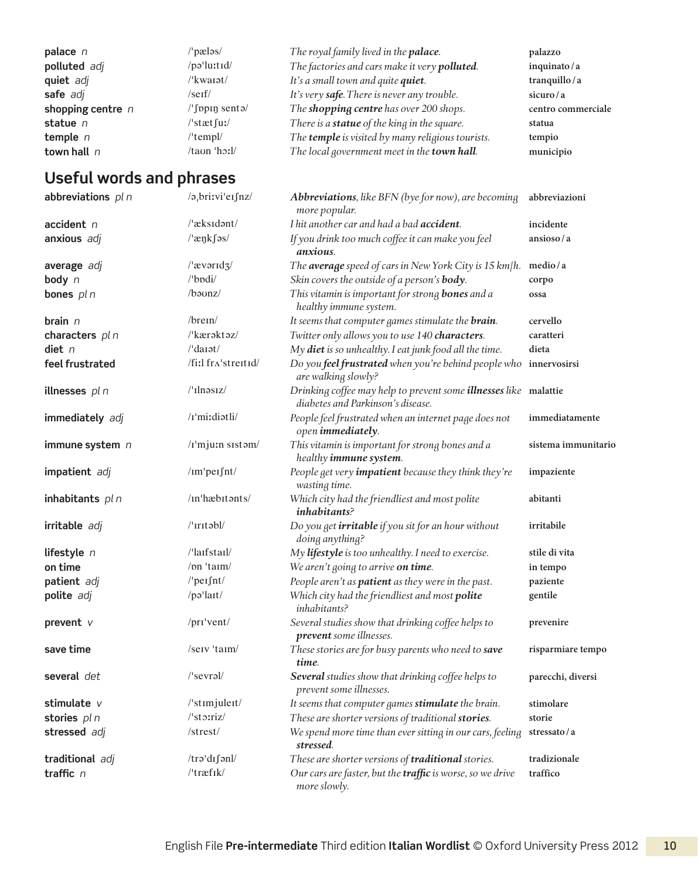| palace $n$          | $^{\prime}$ 'pæləs $^{\prime}$       | The royal family lived in the palace.               | palazzo            |
|---------------------|--------------------------------------|-----------------------------------------------------|--------------------|
| polluted adj        | $\pi$ -lu $\tau$ tid/                | The factories and cars make it very polluted.       | inquinato/a        |
| quiet adj           | $\frac{\mu_{\text{kwaist}}}{\sigma}$ | It's a small town and quite quiet.                  | tranquillo / a     |
| safe adj            | $/$ serf $/$                         | It's very safe. There is never any trouble.         | sicuro/ $a$        |
| shopping centre $n$ | $\sqrt{\pi}$ sento                   | The shopping centre has over 200 shops.             | centro commerciale |
| statue $n$          | /'stæt fuː/                          | There is a <b>statue</b> of the king in the square. | statua             |
| temple $n$          | $l$ 'templ $l$                       | The temple is visited by many religious tourists.   | tempio             |
| town hall $n$       | $/ta$ un 'h $\mathbf{1}/t$           | The local government meet in the town hall.         | municipio          |

| abbreviations pl n | $\sqrt{2}$ , britvi'es fnz $\sqrt{2}$             | <b>Abbreviations</b> , like BFN (bye for now), are becoming<br>more popular.                                 | abbreviazioni       |
|--------------------|---------------------------------------------------|--------------------------------------------------------------------------------------------------------------|---------------------|
| accident n         | /'æksidant/                                       | I hit another car and had a bad accident.                                                                    | incidente           |
| anxious adj        | $/$ 'æŋkſəs/                                      | If you drink too much coffee it can make you feel<br>anxious.                                                | ansioso/a           |
| average adj        | $/$ <sup>a</sup> $v$ <sup><math>/</math></sup>    | The average speed of cars in New York City is 15 km/h.                                                       | medio/a             |
| body n             | /'bpdi/                                           | Skin covers the outside of a person's body.                                                                  | corpo               |
| bones pl n         | /baunz/                                           | This vitamin is important for strong <b>bones</b> and a<br>healthy immune system.                            | ossa                |
| brain $n$          | $/$ brein $/$                                     | It seems that computer games stimulate the <b>brain</b> .                                                    | cervello            |
| characters pl n    | /'kærəktəz/                                       | Twitter only allows you to use 140 characters.                                                               | caratteri           |
| diet n             | $/$ 'darət $/$                                    | My diet is so unhealthy. I eat junk food all the time.                                                       | dieta               |
| feel frustrated    | /fiːl frʌ'streɪtɪd/                               | Do you feel frustrated when you're behind people who<br>are walking slowly?                                  | innervosirsi        |
| illnesses pl n     | $/$ 'Ilnəsiz $/$                                  | Drinking coffee may help to prevent some <i>illnesses</i> like malattie<br>diabetes and Parkinson's disease. |                     |
| immediately adj    | /i'mi:diatli/                                     | People feel frustrated when an internet page does not<br>open immediately.                                   | immediatamente      |
| immune system n    | /r'mju:n sistam/                                  | This vitamin is important for strong bones and a<br>healthy immune system.                                   | sistema immunitario |
| impatient adj      | /im'peifnt/                                       | People get very <i>impatient</i> because they think they're<br>wasting time.                                 | impaziente          |
| inhabitants pl n   | /in'hæbitants/                                    | Which city had the friendliest and most polite<br><i>inhabitants?</i>                                        | abitanti            |
| irritable adj      | /'Iritəbl/                                        | Do you get <b>irritable</b> if you sit for an hour without<br>doing anything?                                | irritabile          |
| lifestyle n        | $\frac{1}{\pi}$ anstarl $\frac{1}{\pi}$           | My lifestyle is too unhealthy. I need to exercise.                                                           | stile di vita       |
| on time            | /pn 'taim/                                        | We aren't going to arrive on time.                                                                           | in tempo            |
| patient adj        | $/$ 'peɪ $f$ nt/                                  | People aren't as patient as they were in the past.                                                           | paziente            |
| polite adj         | /pəˈlaɪt/                                         | Which city had the friendliest and most polite<br>inhabitants?                                               | gentile             |
| prevent v          | /pri/vent/                                        | Several studies show that drinking coffee helps to<br>prevent some illnesses.                                | prevenire           |
| save time          | /serv 'taim/                                      | These stories are for busy parents who need to save<br>time.                                                 | risparmiare tempo   |
| several det        | $/$ 'sevrəl $/$                                   | Several studies show that drinking coffee helps to<br>prevent some illnesses.                                | parecchi, diversi   |
| stimulate v        | /'stimjuleit/                                     | It seems that computer games stimulate the brain.                                                            | stimolare           |
| stories pl n       | $\sqrt{\frac{1}{3}}$ storriz $\sqrt{\frac{1}{3}}$ | These are shorter versions of traditional stories.                                                           | storie              |
| stressed adj       | /strest/                                          | We spend more time than ever sitting in our cars, feeling<br>stressed.                                       | stressato/a         |
| traditional adj    | /trəˈdɪʃənl/                                      | These are shorter versions of traditional stories.                                                           | tradizionale        |
| traffic $n$        | $/$ 'træfik $/$                                   | Our cars are faster, but the traffic is worse, so we drive<br>more slowly.                                   | traffico            |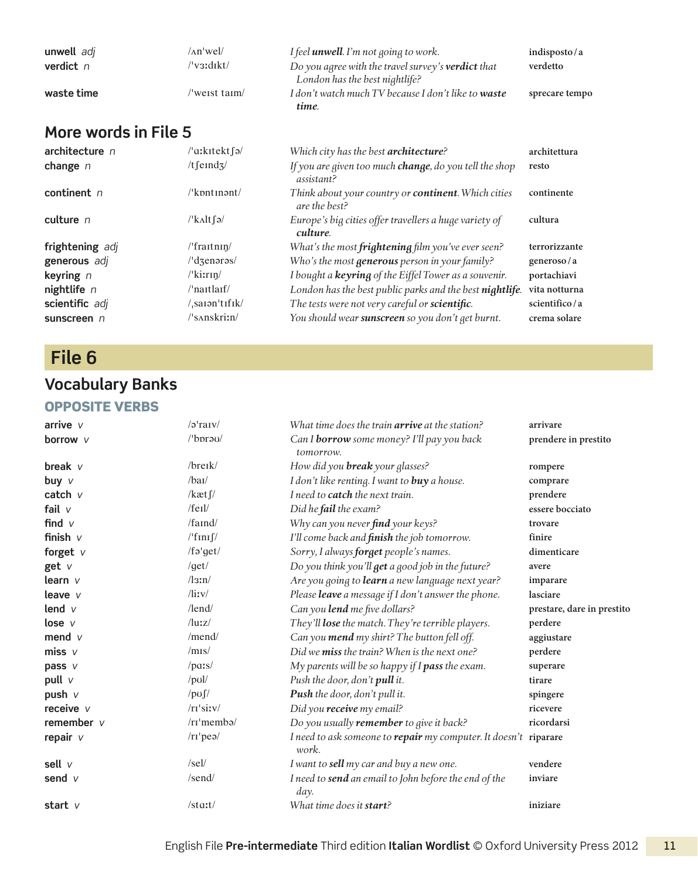| unwell adj  | /^n'wel/    | I feel <b>unwell</b> . I'm not going to work.              | indisposto/a   |
|-------------|-------------|------------------------------------------------------------|----------------|
| verdict $n$ | /ˈvɜːdɪkt/  | Do you agree with the travel survey's <b>verdict</b> that  | verdetto       |
|             |             | London has the best nightlife?                             |                |
| waste time  | weist taim/ | I don't watch much TV because I don't like to <b>waste</b> | sprecare tempo |
|             |             | time.                                                      |                |

| architecture <sub>n</sub> | /'aːkɪtekt ʃə/                      | Which city has the best <b>architecture</b> ?                                | architettura  |
|---------------------------|-------------------------------------|------------------------------------------------------------------------------|---------------|
| change $n$                | /t feind $\frac{1}{2}$              | If you are given too much change, do you tell the shop<br>assistant?         | resto         |
| continent $n$             | $\sqrt{k}$ pnt $\pi$ ant $\sqrt{k}$ | Think about your country or <b>continent</b> . Which cities<br>are the best? | continente    |
| culture $n$               | $/\kappa$ <sub>A</sub> lt fə $/$    | Europe's big cities offer travellers a huge variety of<br>culture.           | cultura       |
| frightening adj           | $\frac{1}{\tan \frac{\pi}{2}}$      | What's the most frightening film you've ever seen?                           | terrorizzante |
| generous adj              | /'dzenərəs/                         | Who's the most generous person in your family?                               | generoso/a    |
| keyring $n$               | $\frac{\text{N}}{\text{K}}$         | I bought a keyring of the Eiffel Tower as a souvenir.                        | portachiavi   |
| nightlife $n$             | $\theta$ naitlaif                   | London has the best public parks and the best nightlife.                     | vita notturna |
| scientific adj            | /saɪənˈtɪfɪk/                       | The tests were not very careful or scientific.                               | scientifico/a |
| sunscreen $n$             | /'sAnskritn/                        | You should wear sunscreen so you don't get burnt.                            | crema solare  |

## **File 6**

## **Vocabulary Banks**

#### Opposite verbs

| arrive $V$      | /əˈraɪv/                          | What time does the train <b>arrive</b> at the station?                    | arrivare                   |
|-----------------|-----------------------------------|---------------------------------------------------------------------------|----------------------------|
| <b>borrow</b> v | $l$ bpra $U$                      | Can I <b>borrow</b> some money? I'll pay you back<br>tomorrow.            | prendere in prestito       |
| break $V$       | $/$ breik $/$                     | How did you <b>break</b> your glasses?                                    | rompere                    |
| buy $V$         | /baI                              | I don't like renting. I want to buy a house.                              | comprare                   |
| catch $\nu$     | / $k$ æt $\int$ /                 | I need to <b>catch</b> the next train.                                    | prendere                   |
| fail $V$        | $/$ feil $/$                      | Did he fail the exam?                                                     | essere bocciato            |
| find $V$        | /faind/                           | Why can you never find your keys?                                         | trovare                    |
| finish $V$      | $/$ 'fini $\int$                  | I'll come back and <i>finish</i> the job tomorrow.                        | finire                     |
| forget $V$      | /fə'get/                          | Sorry, I always forget people's names.                                    | dimenticare                |
| get v           | /get/                             | Do you think you'll get a good job in the future?                         | avere                      |
| learn $V$       | $\sqrt{3}$ :n $\sqrt{2}$          | Are you going to learn a new language next year?                          | imparare                   |
| leave $V$       | $\frac{1}{\text{div}}$            | Please leave a message if I don't answer the phone.                       | lasciare                   |
| lend $V$        | $/$ lend $/$                      | Can you lend me five dollars?                                             | prestare, dare in prestito |
| lose v          | $\frac{\mathrm{d}u}{\mathrm{d}x}$ | They'll lose the match. They're terrible players.                         | perdere                    |
| mend $V$        | $/$ mend $/$                      | Can you mend my shirt? The button fell off.                               | aggiustare                 |
| miss $v$        | /mis/                             | Did we miss the train? When is the next one?                              | perdere                    |
| pass $V$        | $/_{\rm purs}/$                   | My parents will be so happy if $I$ pass the exam.                         | superare                   |
| pull v          | $\prime$ pul/                     | Push the door, don't pull it.                                             | tirare                     |
| push v          | $\frac{1}{\sqrt{2}}$              | Push the door, don't pull it.                                             | spingere                   |
| receive v       | /ri'sity/                         | Did you receive my email?                                                 | ricevere                   |
| remember $V$    | $/rr'$ membə $/$                  | Do you usually remember to give it back?                                  | ricordarsi                 |
| repair $V$      | /rr'pea/                          | I need to ask someone to repair my computer. It doesn't riparare<br>work. |                            |
| sell $V$        | /sel/                             | I want to sell my car and buy a new one.                                  | vendere                    |
| send v          | /send/                            | I need to send an email to John before the end of the<br>day.             | inviare                    |
| start $V$       | $/$ start $/$                     | What time does it <b>start</b> ?                                          | iniziare                   |
|                 |                                   |                                                                           |                            |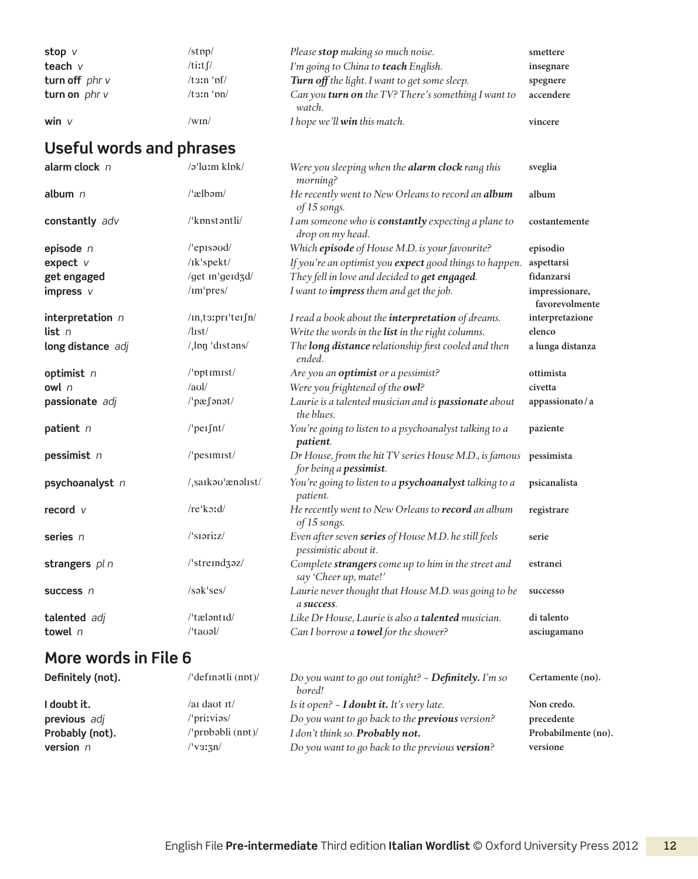| stop v           | $\sqrt{\sup}$            | Please <b>stop</b> making so much noise.                             | smettere  |
|------------------|--------------------------|----------------------------------------------------------------------|-----------|
| teach $v$        | $/t$ iːt $\int$          | I'm going to China to <b>teach</b> English.                          | insegnare |
| turn off $phr$ v | $/t \sin \theta$         | Turn off the light. I want to get some sleep.                        | spegnere  |
| turn on $phr$ v  | $/t \sin' \frac{\pi}{2}$ | Can you <b>turn on</b> the TV? There's something I want to<br>watch. | accendere |
| win $V$          | /wɪn/                    | <i>I hope we'll <b>win</b></i> this match.                           | vincere   |

| alarm clock n        | /ə'la:m klpk/                     | Were you sleeping when the alarm clock rang this<br>morning?                     | sveglia                          |
|----------------------|-----------------------------------|----------------------------------------------------------------------------------|----------------------------------|
| album n              | /'ælbəm/                          | He recently went to New Orleans to record an album<br>of 15 songs.               | album                            |
| constantly adv       | /'kpnstantli/                     | I am someone who is <b>constantly</b> expecting a plane to<br>drop on my head.   | costantemente                    |
| episode $n$          | /'episaud/                        | Which episode of House M.D. is your favourite?                                   | episodio                         |
| expect v             | /Ik'spekt/                        | If you're an optimist you expect good things to happen.                          | aspettarsi                       |
| get engaged          | /get m'geid3d/                    | They fell in love and decided to get engaged.                                    | fidanzarsi                       |
| impress v            | /im'pres/                         | I want to <i>impress</i> them and get the job.                                   | impressionare,<br>favorevolmente |
| interpretation $n$   | $/$ In <sub>i</sub> t3:pri'teifn/ | I read a book about the <i>interpretation</i> of dreams.                         | interpretazione                  |
| list n               | $\sqrt{list}$                     | Write the words in the list in the right columns.                                | elenco                           |
| long distance adj    | $/$ <sub>,lpn</sub> 'distons/     | The long distance relationship first cooled and then<br>ended.                   | a lunga distanza                 |
| optimist n           | /'pptimist/                       | Are you an <b>optimist</b> or a pessimist?                                       | ottimista                        |
| owl n                | /au                               | Were you frightened of the owl?                                                  | civetta                          |
| passionate adj       | /'pæfənət/                        | Laurie is a talented musician and is passionate about<br>the blues.              | appassionato/a                   |
| patient n            | $/$ 'peɪ $f$ nt/                  | You're going to listen to a psychoanalyst talking to a<br>patient.               | paziente                         |
| pessimist n          | /'pesimist/                       | Dr House, from the hit TV series House M.D., is famous<br>for being a pessimist. | pessimista                       |
| psychoanalyst n      | /saikau'ænalist/                  | You're going to listen to a psychoanalyst talking to a<br>patient.               | psicanalista                     |
| record $\nu$         | /re'kord/                         | He recently went to New Orleans to record an album<br>of 15 songs.               | registrare                       |
| series n             | $/$ siariz $/$                    | Even after seven series of House M.D. he still feels<br>pessimistic about it.    | serie                            |
| strangers pl n       | /'streind3əz/                     | Complete strangers come up to him in the street and<br>say 'Cheer up, mate!'     | estranei                         |
| success n            | /səkˈses/                         | Laurie never thought that House M.D. was going to be<br>a success.               | successo                         |
| talented adj         | /'tæləntid/                       | Like Dr House, Laurie is also a talented musician.                               | di talento                       |
| towel $n$            | $l$ 'tauəl/                       | Can I borrow a towel for the shower?                                             | asciugamano                      |
| More words in File 6 |                                   |                                                                                  |                                  |

#### **Definitely (not).** /ˈdefɪnətli (nɒt)/ *Do you want to go out tonight? ~ Definitely. I'm so bored!* **Certamente (no).** *I* **doubt it.** *If I Is it open?* - *<i>I doubt it. It's very late.* Non credo. **previous** *adj adj adj adj /'priiviss/ Do you want to go back to the <i>previous version?* precedente **Probably (not).** //probabli (not)/ *I don't think so. Probably not.* Probabilmente (no). **version** *n* /ˈvɜːʒn/ *Do you want to go back to the previous version?* **versione**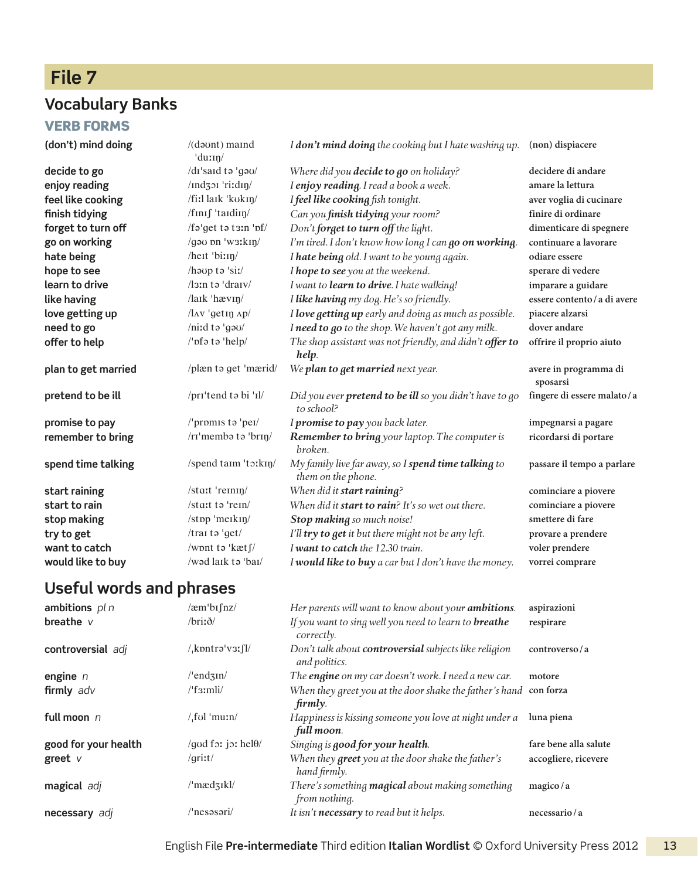## **File 7**

### **Vocabulary Banks**

#### **VERB FORMS**

| (don't) mind doing  | $/($ daunt $)$ maind<br>'du:In/   | I don't mind doing the cooking but I hate washing up.                     | (non) dispiacere                  |
|---------------------|-----------------------------------|---------------------------------------------------------------------------|-----------------------------------|
| decide to go        | /dɪ'saɪd tə 'gəu/                 | Where did you decide to go on holiday?                                    | decidere di andare                |
| enjoy reading       | /ind301 'ri:din/                  | I enjoy reading. I read a book a week.                                    | amare la lettura                  |
| feel like cooking   | /fiːl laɪk 'kʊkɪŋ/                | I feel like cooking fish tonight.                                         | aver voglia di cucinare           |
| finish tidying      | /finif 'taidin/                   | Can you finish tidying your room?                                         | finire di ordinare                |
| forget to turn off  | /fa'get ta ta:n 'pf/              | Don't forget to turn off the light.                                       | dimenticare di spegnere           |
| go on working       | /gau pn 'w3:kin/                  | I'm tired. I don't know how long I can go on working.                     | continuare a lavorare             |
| hate being          | /heit 'bi:in/                     | I hate being old. I want to be young again.                               | odiare essere                     |
| hope to see         | /houp to 'siː/                    | I hope to see you at the weekend.                                         | sperare di vedere                 |
| learn to drive      | $\lambda$ sin tə 'draiv $\lambda$ | I want to learn to drive. I hate walking!                                 | imparare a guidare                |
| like having         | $\frac{1}{\sqrt{2}}$ havin        | I like having my dog. He's so friendly.                                   | essere contento / a di avere      |
| love getting up     | $/\text{lav}$ 'getin $\text{Ap}/$ | I love getting up early and doing as much as possible.                    | piacere alzarsi                   |
| need to go          | /niːd tə 'gəu/                    | I need to go to the shop. We haven't got any milk.                        | dover andare                      |
| offer to help       | /'pfa ta 'help/                   | The shop assistant was not friendly, and didn't offer to<br>help.         | offrire il proprio aiuto          |
| plan to get married | /plæn to get 'mærid/              | We plan to get married next year.                                         | avere in programma di<br>sposarsi |
| pretend to be ill   | /pri <sup>tend</sup> to bi 'Il/   | Did you ever pretend to be ill so you didn't have to go<br>to school?     | fingere di essere malato/a        |
| promise to pay      | /'promis to 'pei/                 | I promise to pay you back later.                                          | impegnarsi a pagare               |
| remember to bring   | /rɪ'membə tə 'brɪŋ/               | <b>Remember to bring</b> your laptop. The computer is<br>broken.          | ricordarsi di portare             |
| spend time talking  | /spend taim 'to:kin/              | My family live far away, so I spend time talking to<br>them on the phone. | passare il tempo a parlare        |
| start raining       | /start 'reinin                    | When did it start raining?                                                | cominciare a piovere              |
| start to rain       | /start to 'rein/                  | When did it start to rain? It's so wet out there.                         | cominciare a piovere              |
| stop making         | /stpp 'merkin                     | Stop making so much noise!                                                | smettere di fare                  |
| try to get          | /traito 'get/                     | I'll try to get it but there might not be any left.                       | provare a prendere                |
| want to catch       | /wont to 'kæt f/                  | I want to catch the 12.30 train.                                          | voler prendere                    |
| would like to buy   | /wad laik ta 'bai/                | I would like to buy a car but I don't have the money.                     | vorrei comprare                   |

| ambitions $pln$      | $/$ æm $\ln$ fnz $/$        | Her parents will want to know about your <b>ambitions</b> .                   | aspirazioni           |
|----------------------|-----------------------------|-------------------------------------------------------------------------------|-----------------------|
| breathe $V$          | $/$ britð/                  | If you want to sing well you need to learn to <b>breathe</b><br>correctly.    | respirare             |
| controversial adj    | $\lambda$ kpntrə'v31fl/     | Don't talk about <b>controversial</b> subjects like religion<br>and politics. | controverso/a         |
| engine $n$           | $/$ endzin $/$              | The <b>engine</b> on my car doesn't work. I need a new car.                   | motore                |
| firmly adv           | $/$ f $3$ :mli $/$          | When they greet you at the door shake the father's hand con forza<br>firmly.  |                       |
| full moon $n$        | /ˌfʊl ˈmuːn/                | Happiness is kissing someone you love at night under a<br>full moon.          | luna piena            |
| good for your health | /god for jor hel $\theta$ / | Singing is good for your health.                                              | fare bene alla salute |
| greet v              | /griːt/                     | When they greet you at the door shake the father's<br>hand firmly.            | accogliere, ricevere  |
| magical adj          | $\mu$ mædzikl/              | There's something <b>magical</b> about making something<br>from nothing.      | magico/a              |
| necessary adj        | /'nesəsəri/                 | It isn't necessary to read but it helps.                                      | necessario / a        |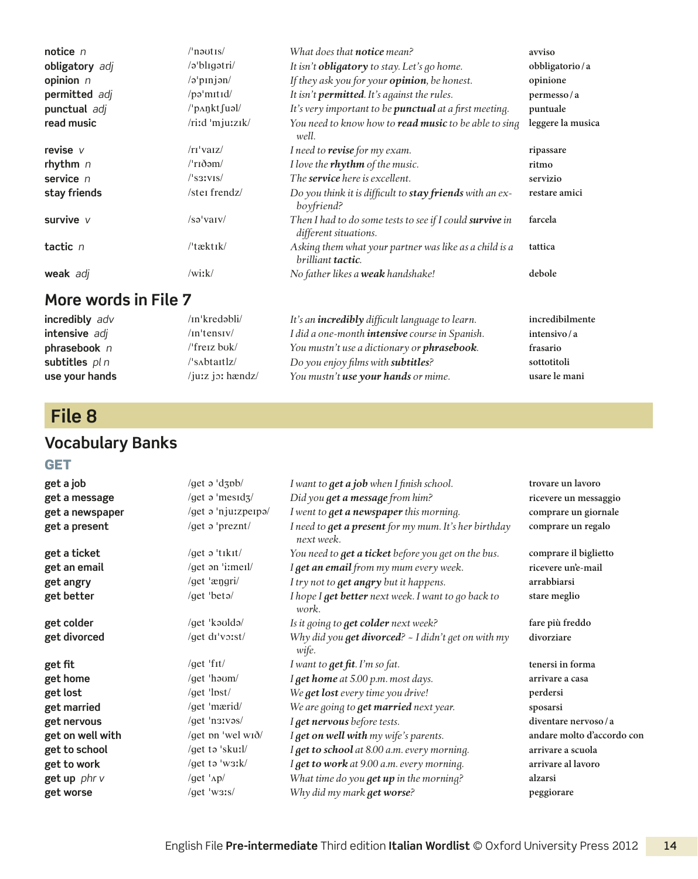| notice $n$     | $/$ n <sub>autis</sub> $/$ | What does that <b>notice</b> mean?                                                  | avviso            |
|----------------|----------------------------|-------------------------------------------------------------------------------------|-------------------|
| obligatory adj | $\alpha$ bligətri $\alpha$ | It isn't <b>obligatory</b> to stay. Let's go home.                                  | obbligatorio/a    |
| opinion $n$    | $\sqrt{2}$ pinjan/         | If they ask you for your <b>opinion</b> , be honest.                                | opinione          |
| permitted adj  | $\pi$ /pə $\mu$ turid/     | It isn't <b>permitted</b> . It's against the rules.                                 | permesso/a        |
| punctual adj   | $/$ p $\Lambda$ nkt fuəl/  | It's very important to be <b>punctual</b> at a first meeting.                       | puntuale          |
| read music     | /riːd 'mjuːzɪk/            | You need to know how to <b>read music</b> to be able to sing<br>well.               | leggere la musica |
| revise $V$     | $\pi$ 'vaiz                | I need to revise for my exam.                                                       | ripassare         |
| rhythm $n$     | $/$ rıðəm $/$              | I love the rhythm of the music.                                                     | ritmo             |
| service $n$    | $\sqrt{331V}$              | The <b>service</b> here is excellent.                                               | servizio          |
| stay friends   | /ster frendz/              | Do you think it is difficult to stay friends with an ex-<br>boyfriend?              | restare amici     |
| survive v      | /sə'varv/                  | Then I had to do some tests to see if I could survive in<br>different situations.   | farcela           |
| tactic n       | /'tæktik/                  | Asking them what your partner was like as a child is a<br>brilliant <b>tactic</b> . | tattica           |
| weak adj       | $/$ wiːk $/$               | No father likes a weak handshake!                                                   | debole            |

| incredibly adv | /in'kredəbli/             | It's an <b>incredibly</b> difficult language to learn. | incredibilmente |
|----------------|---------------------------|--------------------------------------------------------|-----------------|
| intensive adj  | $/$ In'tensiy             | I did a one-month <i>intensive</i> course in Spanish.  | intensivo/a     |
| phrasebook $n$ | $\theta$ freiz bok/       | You mustn't use a dictionary or <b>phrasebook</b> .    | frasario        |
| subtitles pl n | /'sʌbtaɪtlz/              | Do you enjoy films with subtitles?                     | sottotitoli     |
| use your hands | $/$ ju: $z$ jo: hændz $/$ | You mustn't <b>use your hands</b> or mime.             | usare le mani   |

## **File 8**

## **Vocabulary Banks**

#### **GET**

| get a job        | /get $\sigma$ 'd $\sigma$ b/       | I want to <b>get a job</b> when I finish school.                     | trovare un lavoro           |
|------------------|------------------------------------|----------------------------------------------------------------------|-----------------------------|
| get a message    | /get $\sigma$ 'mesid $\frac{1}{2}$ | Did you get a message from him?                                      | ricevere un messaggio       |
| get a newspaper  | /get a 'njurzperpa/                | I went to get a newspaper this morning.                              | comprare un giornale        |
| get a present    | /get a 'preznt/                    | I need to get a present for my mum. It's her birthday<br>next week.  | comprare un regalo          |
| get a ticket     | /get $\sigma$ 'tikit/              | You need to get a ticket before you get on the bus.                  | comprare il biglietto       |
| get an email     | /get an 'i:meil/                   | I get an email from my mum every week.                               | ricevere un'e-mail          |
| get angry        | /get 'ængri/                       | I try not to <b>get angry</b> but it happens.                        | arrabbiarsi                 |
| get better       | /get 'beta/                        | I hope I get better next week. I want to go back to<br>work.         | stare meglio                |
| get colder       | /get 'kaulda/                      | Is it going to get colder next week?                                 | fare più freddo             |
| get divorced     | /get di'voist/                     | Why did you <b>get divorced</b> ? ~ I didn't get on with my<br>wife. | divorziare                  |
| get fit          | /get 'fit/                         | I want to get fit. I'm so fat.                                       | tenersi in forma            |
| get home         | /get 'h $a$ om/                    | I get home at 5.00 p.m. most days.                                   | arrivare a casa             |
| get lost         | /get 'lpst/                        | We get lost every time you drive!                                    | perdersi                    |
| get married      | /get 'mærid/                       | We are going to get married next year.                               | sposarsi                    |
| get nervous      | /get 'n3Ivas/                      | I get nervous before tests.                                          | diventare nervoso/a         |
| get on well with | /get pn 'wel wið/                  | I get on well with my wife's parents.                                | andare molto d'accordo con  |
| get to school    | /get to 'skuːl/                    | I get to school at 8.00 a.m. every morning.                          | arrivare a scuola           |
| get to work      | /get to 'w3ːk/                     | I get to work at 9.00 a.m. every morning.                            | arrivare al lavoro          |
| get up phr v     | /get 'Ap/                          | What time do you get up in the morning?                              | alzarsi                     |
| get worse        | /get 'was/                         | Why did my mark <b>get worse</b> ?                                   | $\operatorname{peggiorare}$ |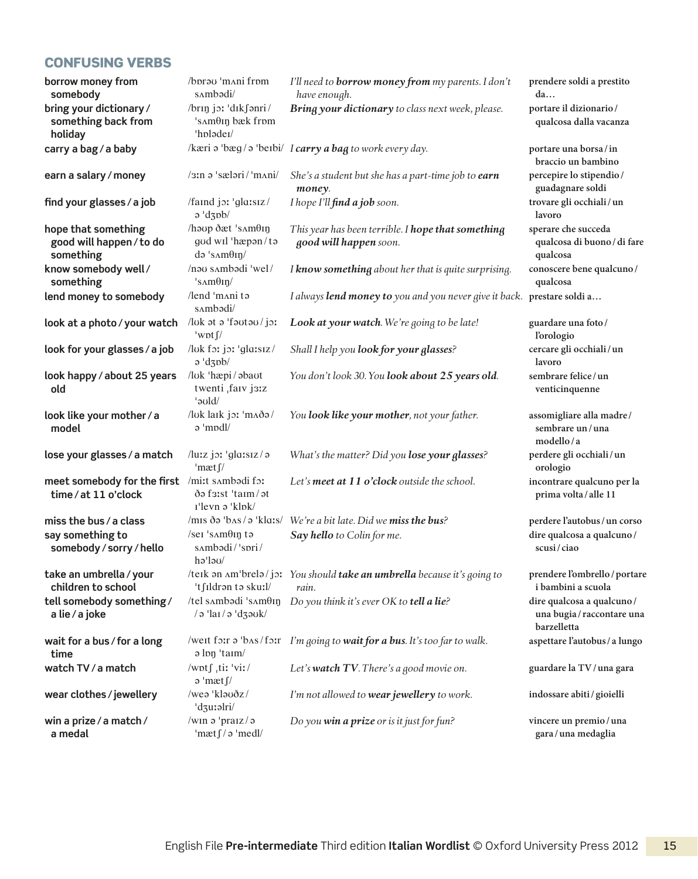#### Confusing verbs

| borrow money from<br>somebody                                | /bprau 'mani frpm<br>sambadi/                                                  | I'll need to <b>borrow money from</b> my parents. I don't<br>have enough.        | prendere soldi a prestito<br>da                                        |
|--------------------------------------------------------------|--------------------------------------------------------------------------------|----------------------------------------------------------------------------------|------------------------------------------------------------------------|
| bring your dictionary /<br>something back from<br>holiday    | /brin joi 'dikfanri/<br>'s <i>Amθin</i> bæk from<br>'hpladei/                  | Bring your dictionary to class next week, please.                                | portare il dizionario/<br>qualcosa dalla vacanza                       |
| carry a bag/a baby                                           |                                                                                | /kæri $\sigma$ 'bæg / $\sigma$ 'beibi/ I carry a bag to work every day.          | portare una borsa/in<br>braccio un bambino                             |
| earn a salary / money                                        | /3In a 'sælari/'m^ni/                                                          | She's a student but she has a part-time job to earn<br>money.                    | percepire lo stipendio/<br>guadagnare soldi                            |
| find your glasses / a job                                    | /faind joi 'glaisiz/<br>$\sigma$ 'dzpb/                                        | I hope I'll find a job soon.                                                     | trovare gli occhiali/un<br>lavoro                                      |
| hope that something<br>good will happen / to do<br>something | /haup dæt 'sAmθIn<br>gud wil 'hæpən/tə<br>$d\vartheta$ 's $\Delta m\theta$ in/ | This year has been terrible. I hope that something<br>good will happen soon.     | sperare che succeda<br>qualcosa di buono / di fare<br>qualcosa         |
| know somebody well/<br>something                             | /nau sambadi 'wel/<br>$'s\land m\theta \eta/$                                  | I know something about her that is quite surprising.                             | conoscere bene qualcuno/<br>qualcosa                                   |
| lend money to somebody                                       | /lend 'mani ta<br>sambədi/                                                     | I always lend money to you and you never give it back. prestare soldi a          |                                                                        |
| look at a photo / your watch                                 | /luk at a 'fautau/jor<br>$^{\prime}$ wpt $\int$ /                              | Look at your watch. We're going to be late!                                      | guardare una foto/<br>l'orologio                                       |
| look for your glasses / a job                                | /luk for jor 'glarsız/<br>$\sigma$ 'dzpb/                                      | Shall I help you look for your glasses?                                          | cercare gli occhiali/un<br>lavoro                                      |
| look happy / about 25 years<br>old                           | /luk 'hæpi/abaut<br>twenti farv j3:z<br>'əvld/                                 | You don't look 30. You look about 25 years old.                                  | sembrare felice/un<br>venticinquenne                                   |
| look like your mother / a<br>model                           | /luk laik joi 'mada/<br>a 'mpdl/                                               | You look like your mother, not your father.                                      | assomigliare alla madre/<br>sembrare un/una<br>modello/a               |
| lose your glasses / a match                                  | /luːz jɔː 'glaːsɪz/ə<br>'mæt f/                                                | What's the matter? Did you lose your glasses?                                    | perdere gli occhiali/un<br>orologio                                    |
| meet somebody for the first<br>time/at 11 o'clock            | /mi:t sambadi fo:<br>də faist 'taim/ət<br>r'levn ə 'klok/                      | Let's meet at 11 o'clock outside the school.                                     | incontrare qualcuno per la<br>prima volta / alle 11                    |
| miss the bus / a class                                       |                                                                                | /mis ðə 'bas / ə 'klais/ We're a bit late. Did we miss the bus?                  | perdere l'autobus / un corso                                           |
| say something to<br>somebody / sorry / hello                 | /ser 's $\Delta m\theta$ ing tə<br>sambadi/'spri/<br>hə'ləu/                   | Say hello to Colin for me.                                                       | dire qualcosa a qualcuno/<br>scusi/ciao                                |
| take an umbrella / your<br>children to school                | 't∫Ildrən tə skuːl/                                                            | /teik an Am'brela/jo: You should take an umbrella because it's going to<br>rain. | prendere l'ombrello / portare<br>i bambini a scuola                    |
| tell somebody something/<br>a lie / a joke                   | /tel sambadi 'sam $\theta$ in<br>/ə 'laı/ə 'dʒəʊk/                             | Do you think it's ever OK to tell a lie?                                         | dire qualcosa a qualcuno/<br>una bugia / raccontare una<br>barzelletta |
| wait for a bus / for a long<br>time                          | a lon 'taim/                                                                   | /weit foir $\theta$ 'bas/foir I'm going to wait for a bus. It's too far to walk. | aspettare l'autobus / a lungo                                          |
| watch TV / a match                                           | /wptf tir 'vir/<br>$\partial$ 'mæt $\int$ /                                    | Let's watch TV. There's a good movie on.                                         | guardare la TV/una gara                                                |
| wear clothes/jewellery                                       | /wea 'klauðz/<br>'dzurəlri/                                                    | I'm not allowed to wear jewellery to work.                                       | indossare abiti/gioielli                                               |
| win a prize / a match /<br>a medal                           | /win a 'praiz/a<br>'mæt $\int$ / $\sigma$ 'medl/                               | Do you win a prize or is it just for fun?                                        | vincere un premio/una<br>gara/una medaglia                             |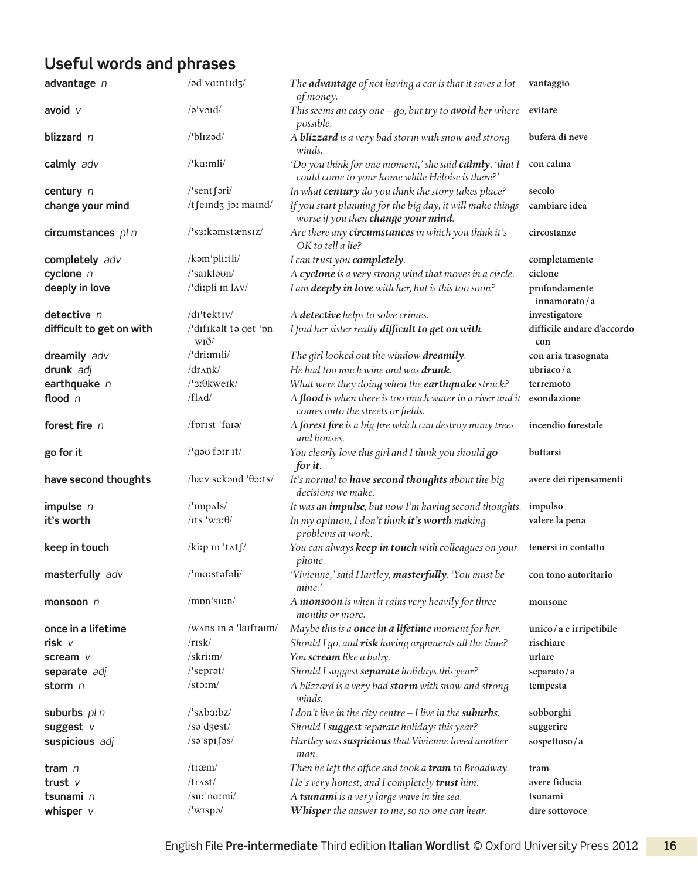| advantage n              | /əd'va:ntıd3/                      | The advantage of not having a car is that it saves a lot<br>of money.                                       | vantaggio                         |
|--------------------------|------------------------------------|-------------------------------------------------------------------------------------------------------------|-----------------------------------|
| avoid $\nu$              | $\sqrt{a}$ void                    | This seems an easy one $-go$ , but try to <b>avoid</b> her where evitare<br>possible.                       |                                   |
| blizzard n               | /'blɪzəd/                          | A <b>blizzard</b> is a very bad storm with snow and strong<br>winds.                                        | bufera di neve                    |
| calmly adv               | /'kaːmli/                          | 'Do you think for one moment,' she said calmly, 'that I<br>could come to your home while Héloise is there?' | con calma                         |
| century n                | $/$ 'sent fəri $/$                 | In what century do you think the story takes place?                                                         | secolo                            |
| change your mind         | /tfeind3 jo: maind/                | If you start planning for the big day, it will make things<br>worse if you then change your mind.           | cambiare idea                     |
| circumstances pl n       | /'s3:kamstænsiz/                   | Are there any circumstances in which you think it's<br>OK to tell a lie?                                    | circostanze                       |
| completely adv           | /kəm'pli:tli/                      | I can trust you completely.                                                                                 | completamente                     |
| cyclone n                | /'saiklaun/                        | A cyclone is a very strong wind that moves in a circle.                                                     | ciclone                           |
| deeply in love           | /'dirpli In lAV/                   | I am deeply in love with her, but is this too soon?                                                         | profondamente<br>innamorato/a     |
| detective n              | /di'tektiv/                        | A detective helps to solve crimes.                                                                          | investigatore                     |
| difficult to get on with | /'dıfıkalt ta get 'pn<br>wið/      | I find her sister really difficult to get on with.                                                          | difficile andare d'accordo<br>con |
| dreamily adv             | /'dri:mɪli/                        | The girl looked out the window dreamily.                                                                    | con aria trasognata               |
| drunk adj                | $/dr$ $\Delta$ n $k$ /             | He had too much wine and was <b>drunk</b> .                                                                 | ubriaco/a                         |
| earthquake $n$           | $/$ <sub>3</sub> : $\theta$ kwerk/ | What were they doing when the earthquake struck?                                                            | terremoto                         |
| flood n                  | $/f$ $\Lambda$ d $/$               | A flood is when there is too much water in a river and it esondazione<br>comes onto the streets or fields.  |                                   |
| forest fire n            | /fprist 'faia/                     | A forest fire is a big fire which can destroy many trees<br>and houses.                                     | incendio forestale                |
| go for it                | /'gou forr It/                     | You clearly love this girl and I think you should go<br>for it.                                             | buttarsi                          |
| have second thoughts     | /hæv sekand 'θoːts/                | It's normal to have second thoughts about the big<br>decisions we make.                                     | avere dei ripensamenti            |
| impulse $n$              | $l'$ Imp $\Lambda$ ls/             | It was an <i>impulse</i> , but now I'm having second thoughts. impulso                                      |                                   |
| it's worth               | /its 'w3: $\theta$ /               | In my opinion, I don't think it's worth making<br>problems at work.                                         | valere la pena                    |
| keep in touch            | /kiip in 'tats                     | You can always keep in touch with colleagues on your<br>phone.                                              | tenersi in contatto               |
| masterfully adv          | /'maːstəfəli/                      | 'Vivienne,' said Hartley, masterfully. 'You must be<br>mine.'                                               | con tono autoritario              |
| monsoon n                | $/$ mpn $'s$ u:n $/$               | A monsoon is when it rains very heavily for three<br>months or more.                                        | monsone                           |
| once in a lifetime       | /wans in a 'laiftaim/              | Maybe this is a once in a lifetime moment for her.                                                          | unico / a e irripetibile          |
| risk v                   | $/r$ <sub>IS</sub> $k/$            | Should I go, and risk having arguments all the time?                                                        | rischiare                         |
| scream v                 | /skri:m/                           | You scream like a baby.                                                                                     | urlare                            |
| separate adj             | $/$ 'seprat/                       | Should I suggest separate holidays this year?                                                               | separato/a                        |
| storm n                  | $\sqrt{\text{st}}\text{cm}$        | A blizzard is a very bad storm with snow and strong<br>winds.                                               | tempesta                          |
| suburbs $pln$            | $\sqrt{\sinh2bz}$                  | I don't live in the city centre $-I$ live in the suburbs.                                                   | sobborghi                         |
| suggest $V$              | /sə'dzest/                         | Should I suggest separate holidays this year?                                                               | suggerire                         |
| suspicious adj           | /sə'spıfəs/                        | Hartley was suspicious that Vivienne loved another<br>man.                                                  | sospettoso/a                      |
| tram $n$                 | $/$ træm $/$                       | Then he left the office and took a tram to Broadway.                                                        | tram                              |
| trust $\vee$             | /trast/                            | He's very honest, and I completely trust him.                                                               | avere fiducia                     |
| tsunami n                | /suːˈnɑːmi/                        | A tsunami is a very large wave in the sea.                                                                  | tsunami                           |
| whisper $v$              | /'wispa/                           | Whisper the answer to me, so no one can hear.                                                               | dire sottovoce                    |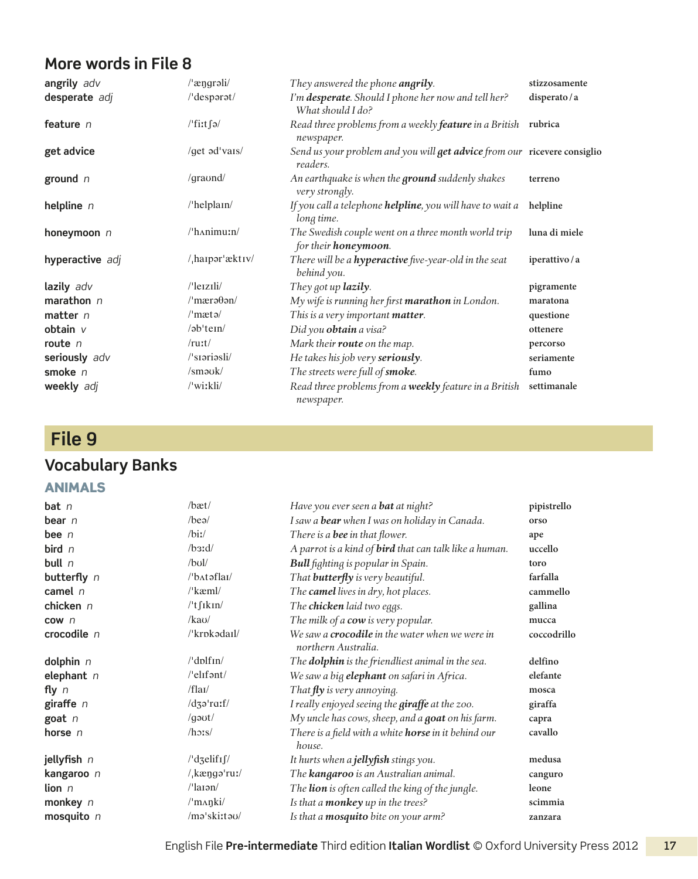| angrily adv     | /'ængrəli/               | They answered the phone angrily.                                                     | stizzosamente |
|-----------------|--------------------------|--------------------------------------------------------------------------------------|---------------|
| desperate adj   | /'desparat/              | I'm desperate. Should I phone her now and tell her?<br>What should I do?             | disperato/a   |
| feature n       | /'fiːt∫ə/                | Read three problems from a weekly feature in a British rubrica<br>newspaper.         |               |
| get advice      | /get ad'vais/            | Send us your problem and you will get advice from our ricevere consiglio<br>readers. |               |
| ground $n$      | $\gamma$ qraund $\gamma$ | An earthquake is when the <b>ground</b> suddenly shakes<br>very strongly.            | terreno       |
| helpline $n$    | $/$ helplain $/$         | If you call a telephone helpline, you will have to wait a<br>long time.              | helpline      |
| honeymoon $n$   | $/$ h $\land$ nimu:n $/$ | The Swedish couple went on a three month world trip<br>for their <b>honeymoon</b> .  | luna di miele |
| hyperactive adj | $/$ haipər'æktiv $/$     | There will be a <b>hyperactive</b> five-year-old in the seat<br>behind you.          | iperattivo/a  |
| lazily adv      | $/$ leizili $/$          | They got up lazily.                                                                  | pigramente    |
| marathon $n$    | $/$ 'mærə $\theta$ ən/   | My wife is running her first <b>marathon</b> in London.                              | maratona      |
| $matter$ n      | $\mu$ mætə $\mu$         | This is a very important matter.                                                     | questione     |
| obtain v        | $/$ əb $'$ tem $/$       | Did you obtain a visa?                                                               | ottenere      |
| route $n$       | $/$ ruːt $/$             | Mark their route on the map.                                                         | percorso      |
| seriously adv   | /'sioriosli/             | He takes his job very seriously.                                                     | seriamente    |
| smoke $n$       | $\mathrm{km}$ ouk/       | The streets were full of smoke.                                                      | fumo          |
| weekly adj      | /'wiːkli/                | Read three problems from a weekly feature in a British<br>newspaper.                 | settimanale   |

## **File 9**

### **Vocabulary Banks**

#### Animals

| bat <sub>n</sub>         | /bæt/                                    | Have you ever seen a <b>bat</b> at night?                                     | pipistrello |
|--------------------------|------------------------------------------|-------------------------------------------------------------------------------|-------------|
| bear $n$                 | $/$ beə $/$                              | I saw a <b>bear</b> when I was on holiday in Canada.                          | orso        |
| bee $n$                  | $\frac{1}{2}$                            | There is a <b>bee</b> in that flower.                                         | ape         |
| bird $n$                 | $\beta$ 3:d/                             | A parrot is a kind of <b>bird</b> that can talk like a human.                 | uccello     |
| bull $n$                 | $/b$ ul/                                 | Bull fighting is popular in Spain.                                            | toro        |
| butterfly n              | $/$ b $\Lambda$ təflai $/$               | That <b>butterfly</b> is very beautiful.                                      | farfalla    |
| camel $n$                | $\frac{\text{m}}{\text{k}}$              | The camel lives in dry, hot places.                                           | cammello    |
| chicken n                | $l't$ fikin/                             | The chicken laid two eggs.                                                    | gallina     |
| cow <sub>n</sub>         | $/$ kau $/$                              | The milk of a cow is very popular.                                            | mucca       |
| crocodile n              | /'krokadail/                             | We saw a <b>crocodile</b> in the water when we were in<br>northern Australia. | coccodrillo |
| dolphin $n$              | $/$ dplf $\ln/$                          | The <b>dolphin</b> is the friendliest animal in the sea.                      | delfino     |
| elephant $n$             | /'elifant/                               | We saw a big elephant on safari in Africa.                                    | elefante    |
| fly $n$                  | /flat/                                   | That $\mathbf{f}$ ly is very annoying.                                        | mosca       |
| giraffe $n$              | $/dz$ <sup>-rath</sup>                   | I really enjoyed seeing the giraffe at the zoo.                               | giraffa     |
| goat n                   | /gə $vt/$                                | My uncle has cows, sheep, and a goat on his farm.                             | capra       |
| horse n                  | $/h$ $2$ s/                              | There is a field with a white <b>horse</b> in it behind our<br>house.         | cavallo     |
| jellyfish n              | $\frac{1}{d}$ dzelif <sub>I</sub> $\int$ | It hurts when a <b>jellyfish</b> stings you.                                  | medusa      |
| kangaroo n               | $/$ <sub>,</sub> kæng $\sigma$ 'ruː/     | The <b>kangaroo</b> is an Australian animal.                                  | canguro     |
| $\mathop{\text{lion}}$ n | $\frac{1}{2}$ aran $\frac{1}{2}$         | The lion is often called the king of the jungle.                              | leone       |
| monkey n                 | $\mu$ m $\alpha$ nki/                    | Is that a <b>monkey</b> up in the trees?                                      | scimmia     |
| mosquito $n$             | /ma'ski:tau/                             | Is that a mosquito bite on your arm?                                          | zanzara     |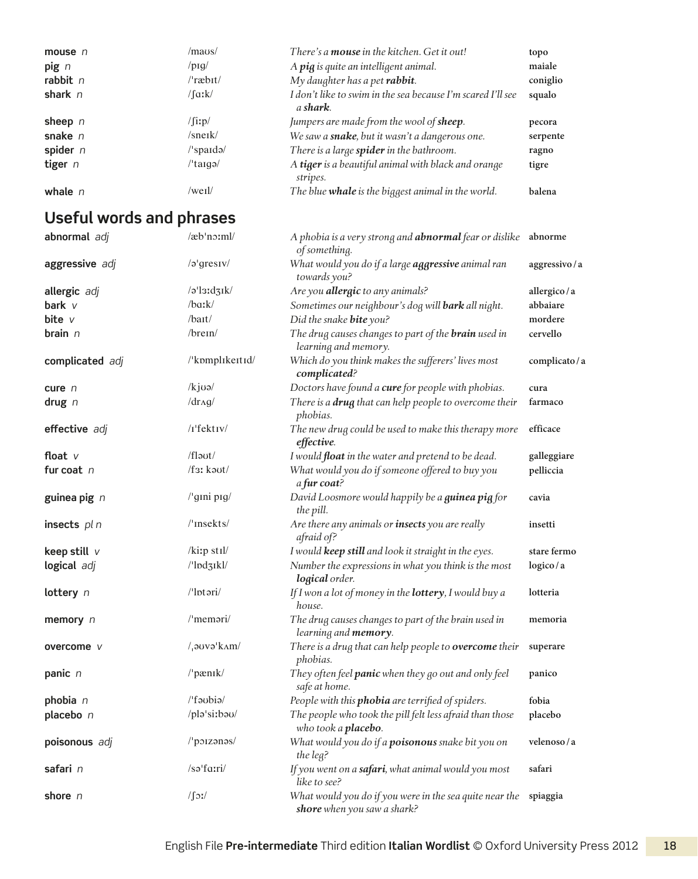| mouse $n$  | /maus/                                          | There's a <b>mouse</b> in the kitchen. Get it out!                              | topo     |
|------------|-------------------------------------------------|---------------------------------------------------------------------------------|----------|
| $\pi$      | $/$ piq $/$                                     | A pig is quite an intelligent animal.                                           | maiale   |
| rabbit $n$ | $/$ ræb $\frac{1}{2}$                           | My daughter has a pet rabbit.                                                   | coniglio |
| shark $n$  | $/$ faːk $/$                                    | I don't like to swim in the sea because I'm scared I'll see<br>a <b>shark</b> . | squalo   |
| sheep $n$  | $\int$ [iːp/                                    | Jumpers are made from the wool of <b>sheep</b> .                                | pecora   |
| snake $n$  | $/$ snerk $/$                                   | We saw a snake, but it wasn't a dangerous one.                                  | serpente |
| spider $n$ | $\sqrt{\frac{1}{2}$ spardə $\sqrt{\frac{1}{2}}$ | There is a large <b>spider</b> in the bathroom.                                 | ragno    |
| tiger $n$  | $\theta$ targe $\theta$                         | A tiger is a beautiful animal with black and orange<br>stripes.                 | tigre    |
| whale $n$  | /weil/                                          | The blue whale is the biggest animal in the world.                              | balena   |

| abnormal adj    | /æb'no:ml/                                                               | A phobia is a very strong and abnormal fear or dislike abnorme<br>of something.         |                |
|-----------------|--------------------------------------------------------------------------|-----------------------------------------------------------------------------------------|----------------|
| aggressive adj  | $/a'$ gresiv/                                                            | What would you do if a large aggressive animal ran<br>towards you?                      | aggressivo / a |
| allergic adj    | /əˈlɜːdʒɪk/                                                              | Are you allergic to any animals?                                                        | allergico/a    |
| bark v          | $/ba:$ k $/$                                                             | Sometimes our neighbour's dog will bark all night.                                      | abbaiare       |
| bite $v$        | /bait/                                                                   | Did the snake bite you?                                                                 | mordere        |
| brain $n$       | $/$ brein $/$                                                            | The drug causes changes to part of the <b>brain</b> used in<br>learning and memory.     | cervello       |
| complicated adj | /'kpmplikeitid/                                                          | Which do you think makes the sufferers' lives most<br>complicated?                      | complicato/a   |
| cure $n$        | $/kj\omega$                                                              | Doctors have found a cure for people with phobias.                                      | cura           |
| drug $n$        | $/dr$ Ag/                                                                | There is a drug that can help people to overcome their<br>phobias.                      | farmaco        |
| effective adj   | $/I$ 'fektiv $/$                                                         | The new drug could be used to make this therapy more<br>effective.                      | efficace       |
| float $V$       | /flaut/                                                                  | I would <i>float</i> in the water and pretend to be dead.                               | galleggiare    |
| fur coat $n$    | /f3ː kaut/                                                               | What would you do if someone offered to buy you<br>a fur coat?                          | pelliccia      |
| guinea pig n    | /'gini pig/                                                              | David Loosmore would happily be a <i>guinea pig</i> for<br>the pill.                    | cavia          |
| insects pl n    | /'insekts/                                                               | Are there any animals or <b>insects</b> you are really<br>afraid of?                    | insetti        |
| keep still $V$  | /kiːp stɪl/                                                              | I would keep still and look it straight in the eyes.                                    | stare fermo    |
| logical adj     | /'lpd31kl/                                                               | Number the expressions in what you think is the most<br>logical order.                  | logico/a       |
| lottery n       | /'lptari/                                                                | If I won a lot of money in the <b>lottery</b> , I would buy a<br>house.                 | lotteria       |
| memory $n$      | /'memari/                                                                | The drug causes changes to part of the brain used in<br>learning and <b>memory</b> .    | memoria        |
| overcome v      | $/$ <sub>1</sub> $\sigma$ <sub>2</sub> V $\sigma$ <sup>1</sup> $\rm{km}$ | There is a drug that can help people to overcome their<br>phobias.                      | superare       |
| panic n         | /'pænɪk/                                                                 | They often feel panic when they go out and only feel<br>safe at home.                   | panico         |
| phobia n        | /'faubia/                                                                | People with this phobia are terrified of spiders.                                       | fobia          |
| placebo n       | /pla'si:bau/                                                             | The people who took the pill felt less afraid than those<br>who took a <b>placebo</b> . | placebo        |
| poisonous adj   | /'poizanas/                                                              | What would you do if a <b>poisonous</b> snake bit you on<br>the leg?                    | velenoso/a     |
| safari n        | /səˈfaːri/                                                               | If you went on a <b>safari</b> , what animal would you most<br>like to see?             | safari         |
| shore n         | $\sqrt{\int_0^2$                                                         | What would you do if you were in the sea quite near the<br>shore when you saw a shark?  | spiaggia       |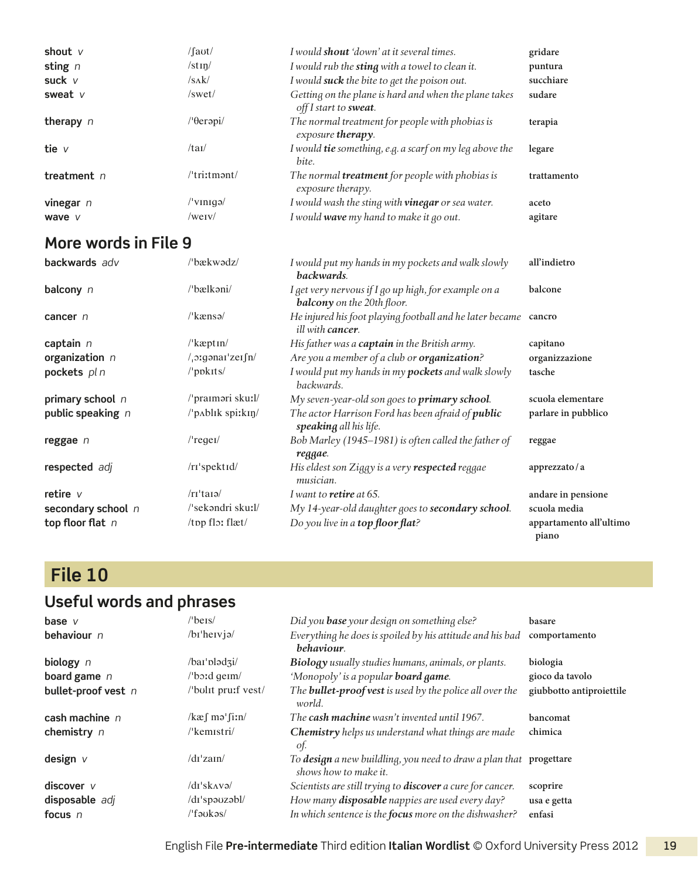| shout $V$     | /faʊt/                 | I would shout 'down' at it several times.                                              | gridare     |
|---------------|------------------------|----------------------------------------------------------------------------------------|-------------|
| sting $n$     | $/\text{stim}/$        | I would rub the sting with a towel to clean it.                                        | puntura     |
| suck $V$      | /sak/                  | I would <b>suck</b> the bite to get the poison out.                                    | succhiare   |
| sweat $V$     | $\sqrt{\mathrm{swet}}$ | Getting on the plane is hard and when the plane takes<br>off I start to <b>sweat</b> . | sudare      |
| therapy $n$   | /'θerəpi/              | The normal treatment for people with phobias is<br>exposure therapy.                   | terapia     |
| tie $v$       | /tan/                  | I would <b>tie</b> something, e.g. a scarf on my leg above the<br>bite.                | legare      |
| treatment $n$ | $l$ tri:tmənt/         | The normal <b>treatment</b> for people with phobias is<br>exposure therapy.            | trattamento |
| vinegar $n$   | $/$ 'vinigə $/$        | I would wash the sting with <b>vinegar</b> or sea water.                               | aceto       |
| wave v        | $/$ werv $/$           | I would wave my hand to make it go out.                                                | agitare     |

| <b>backwards</b> adv | /'bækwədz/                                | I would put my hands in my pockets and walk slowly<br>backwards.                           | all'indietro                     |
|----------------------|-------------------------------------------|--------------------------------------------------------------------------------------------|----------------------------------|
| balcony $n$          | /'bælkəni/                                | I get very nervous if I go up high, for example on a<br><b>balcony</b> on the 20th floor.  | balcone                          |
| cancer n             | $\frac{\text{R}}{\text{k}}$               | He injured his foot playing football and he later became cancro<br><i>ill with cancer.</i> |                                  |
| captain $n$          | $\frac{\text{R}}{\text{expt}}$            | His father was a captain in the British army.                                              | capitano                         |
| organization n       | / <sub>1</sub> oːgənaɪˈzeɪʃn/             | Are you a member of a club or organization?                                                | organizzazione                   |
| pockets pl n         | $/$ ppkits $/$                            | I would put my hands in my <b>pockets</b> and walk slowly<br>backwards.                    | tasche                           |
| primary school n     | /'praimari sku:l/                         | My seven-year-old son goes to <b>primary school</b> .                                      | scuola elementare                |
| public speaking n    | $/$ $p$ $\Delta$ blik spi: $\frac{km}{2}$ | The actor Harrison Ford has been afraid of <i>public</i><br>speaking all his life.         | parlare in pubblico              |
| reggae n             | $/$ 'regel $/$                            | Bob Marley (1945–1981) is often called the father of<br>reggae.                            | reggae                           |
| respected adj        | /rɪ'spektɪd/                              | His eldest son Ziggy is a very respected reggae<br>musician.                               | apprezzato/a                     |
| retire $v$           | $\pi$ 'tarə $\pi$                         | I want to <b>retire</b> at 65.                                                             | andare in pensione               |
| secondary school n   | /'sekəndri skuːl/                         | My 14-year-old daughter goes to secondary school.                                          | scuola media                     |
| top floor flat $n$   | /tpp flor flæt/                           | Do you live in a top floor flat?                                                           | appartamento all'ultimo<br>piano |

## **File 10**

| base $V$            | $l$ bers $l$                           | Did you <b>base</b> your design on something else?                                          | basare                   |
|---------------------|----------------------------------------|---------------------------------------------------------------------------------------------|--------------------------|
| behaviour $n$       | $/bi$ hervj $\alpha$                   | Everything he does is spoiled by his attitude and his bad<br>behaviour.                     | comportamento            |
| biology $n$         | /bai <sup>-</sup> plədzi/              | <b>Biology</b> usually studies humans, animals, or plants.                                  | biologia                 |
| board game $n$      | $\theta$ bord germ/                    | 'Monopoly' is a popular <b>board game</b> .                                                 | gioco da tavolo          |
| bullet-proof vest n | /'bulit pru:f vest/                    | The <b>bullet-proof vest</b> is used by the police all over the<br>world.                   | giubbotto antiproiettile |
| cash machine $n$    | $\frac{\pi}{2}$ matrix $\frac{\pi}{2}$ | The <b>cash machine</b> wasn't invented until 1967.                                         | bancomat                 |
| chemistry n         | $\sqrt{k}$ emistri $\sqrt{k}$          | <b>Chemistry</b> helps us understand what things are made<br>of.                            | chimica                  |
| design $V$          | /dr'zain/                              | To design a new buildling, you need to draw a plan that progettare<br>shows how to make it. |                          |
| discover $V$        | $/dr$ 'sk $\Delta v \partial$          | Scientists are still trying to <b>discover</b> a cure for cancer.                           | scoprire                 |
| disposable adj      | /di'spauzabl/                          | How many <b>disposable</b> nappies are used every day?                                      | usa e getta              |
| focus $n$           | /'fəʊkəs/                              | In which sentence is the focus more on the dishwasher?                                      | enfasi                   |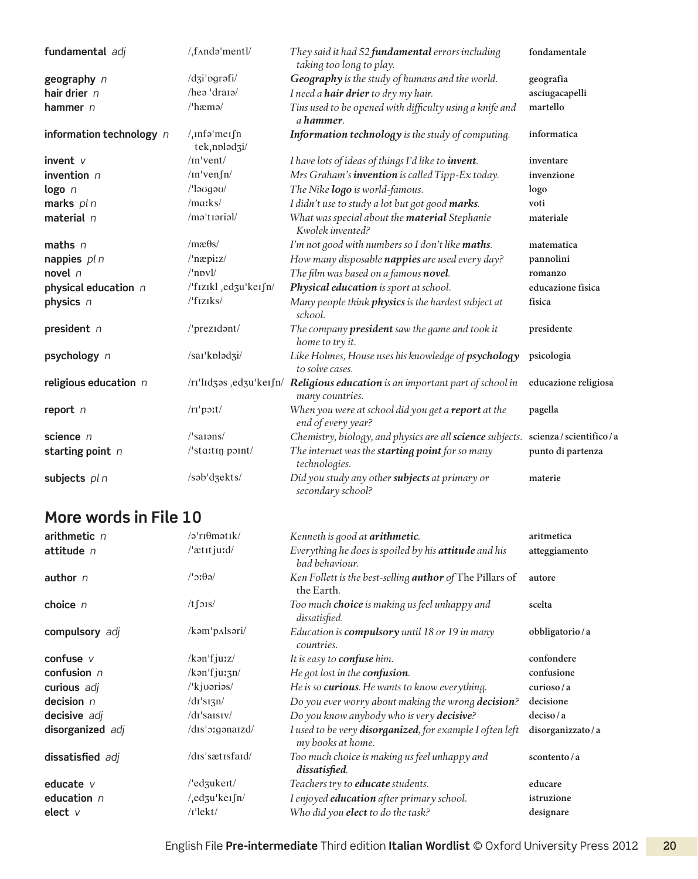| fundamental adj          | $/$ , f $\land$ ndə 'mentl $/$              | They said it had 52 fundamental errors including<br>taking too long to play.                     | fondamentale         |
|--------------------------|---------------------------------------------|--------------------------------------------------------------------------------------------------|----------------------|
| geography n              | /dʒi'pgrəfi/                                | Geography is the study of humans and the world.                                                  | geografia            |
| hair drier $n$           | hea'draia'                                  | I need a hair drier to dry my hair.                                                              | asciugacapelli       |
| hammer $n$               | /'hæmə/                                     | Tins used to be opened with difficulty using a knife and<br>a hammer.                            | martello             |
| information technology n | $/$ <sub>I</sub> nfa'meifn<br>tek, noladzi/ | Information technology is the study of computing.                                                | informatica          |
| invent $V$               | $/$ In'vent/                                | I have lots of ideas of things I'd like to <i>invent</i> .                                       | inventare            |
| invention $n$            | $/$ In'ven $\int$ n $/$                     | Mrs Graham's invention is called Tipp-Ex today.                                                  | invenzione           |
| logo n                   | /'laugau/                                   | The Nike logo is world-famous.                                                                   | logo                 |
| marks pl n               | $/$ marks $/$                               | I didn't use to study a lot but got good marks.                                                  | voti                 |
| material n               | /məˈtɪəriəl/                                | What was special about the <b>material</b> Stephanie<br>Kwolek invented?                         | materiale            |
| maths $n$                | $/mæ\theta s/$                              | I'm not good with numbers so I don't like maths.                                                 | matematica           |
| nappies $pln$            | /'næpiːz/                                   | How many disposable nappies are used every day?                                                  | pannolini            |
| novel $n$                | $/$ 'npvl $/$                               | The film was based on a famous novel.                                                            | romanzo              |
| physical education n     | /'fizikl <sub>,</sub> edzu'keifn/           | Physical education is sport at school.                                                           | educazione fisica    |
| physics n                | $/$ fiziks/                                 | Many people think physics is the hardest subject at<br>school.                                   | fisica               |
| president $n$            | /'prezidant/                                | The company <b>president</b> saw the game and took it<br>home to try it.                         | presidente           |
| psychology n             | /sai/kplad3i/                               | Like Holmes, House uses his knowledge of psychology<br>to solve cases.                           | psicologia           |
| religious education $n$  |                                             | /rɪ'lɪdʒəs ,edʒu'keɪfn/ Religious education is an important part of school in<br>many countries. | educazione religiosa |
| report $n$               | $/rr'$ p $\text{2}$                         | When you were at school did you get a report at the<br>end of every year?                        | pagella              |
| science $n$              | $\sqrt{\sin n s}$                           | Chemistry, biology, and physics are all science subjects. scienza / scientifico / a              |                      |
| starting point $n$       | $\sqrt{\frac{1}{1}}$ sta:tin point/         | The internet was the <b>starting point</b> for so many<br>technologies.                          | punto di partenza    |
| subjects pl n            | /səb <sup>'</sup> dzekts/                   | Did you study any other subjects at primary or<br>secondary school?                              | materie              |

| arithmetic $n$   | $\sqrt{2}$ rı $\theta$ mətik $\sqrt{2}$ | Kenneth is good at <b>arithmetic</b> .                                        | aritmetica       |
|------------------|-----------------------------------------|-------------------------------------------------------------------------------|------------------|
| attitude n       | $/$ atitjurd/                           | Everything he does is spoiled by his attitude and his<br>bad behaviour.       | atteggiamento    |
| author $n$       | $\theta$ ic <sup>'</sup>                | Ken Follett is the best-selling <b>author</b> of The Pillars of<br>the Earth. | autore           |
| choice $n$       | $/t$ $\int$ $\frac{1}{s}$               | Too much <b>choice</b> is making us feel unhappy and<br>dissatisfied.         | scelta           |
| compulsory adj   | $/kom$ <sub>p</sub> $\Lambda$ lsəri/    | Education is <b>compulsory</b> until 18 or 19 in many<br>countries.           | obbligatorio/a   |
| confuse $V$      | /k <sub>on</sub> 'fjuz/                 | It is easy to <b>confuse</b> him.                                             | confondere       |
| confusion $n$    | $\frac{\pi}{2}$                         | He got lost in the <b>confusion</b> .                                         | confusione       |
| curious adj      | /'kjuəriəs/                             | He is so curious. He wants to know everything.                                | curioso/a        |
| decision $n$     | $\frac{d_1}{s_1}$ sizn                  | Do you ever worry about making the wrong decision?                            | decisione        |
| decisive adj     | $\frac{d}{dx}$ 'saisiv $\frac{d}{dx}$   | Do you know anybody who is very decisive?                                     | deciso/a         |
| disorganized adj | /dis'organaizd/                         | I used to be very disorganized, for example I often left<br>my books at home. | disorganizzato/a |
| dissatisfied adj | /dis'sætisfaid/                         | Too much choice is making us feel unhappy and<br>dissatisfied.                | scontento/a      |
| educate $V$      | $/$ 'edzukent $/$                       | Teachers try to <b>educate</b> students.                                      | educare          |
| education $n$    | $/$ <sub>,</sub> edzu'kersn/            | I enjoyed education after primary school.                                     | istruzione       |
| elect $V$        | $/I$ 'lekt/                             | Who did you elect to do the task?                                             | designare        |
|                  |                                         |                                                                               |                  |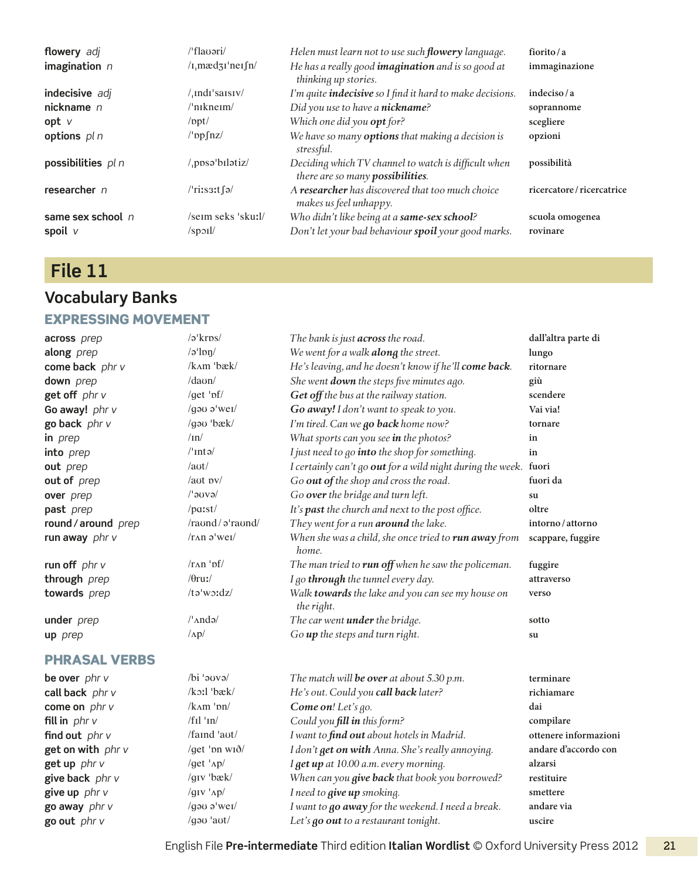| <b>flowery</b> adj               | $/$ flauəri $/$                               | Helen must learn not to use such <b>flowery</b> language.                                          | fiorito/a                   |
|----------------------------------|-----------------------------------------------|----------------------------------------------------------------------------------------------------|-----------------------------|
| imagination $n$                  | $\pi$ <sub>n</sub> mædz <sub>I</sub> 'ner fn/ | He has a really good <i>imagination</i> and is so good at<br>thinking up stories.                  | immaginazione               |
| indecisive adj                   | $/$ , indi's aisiv/                           | I'm quite <i>indecisive</i> so I find it hard to make decisions.                                   | indeciso/a                  |
| nickname $n$                     | $/$ 'nıkne $\mathsf{m}/$                      | Did you use to have a nickname?                                                                    | soprannome                  |
| $opt$ $V$                        | $\sqrt{ppt}$                                  | Which one did you <b>opt</b> for?                                                                  | scegliere                   |
| options $p \mid n$               | $\log\left(\frac{nz}{2}\right)$               | We have so many <b>options</b> that making a decision is<br>stressful.                             | opzioni                     |
| possibilities pl n               | /.ppsabilatiz/                                | Deciding which TV channel to watch is difficult when<br>there are so many possibilities.           | possibilità                 |
| researcher $n$                   | $/$ riis $3$ it fə $/$                        | A researcher has discovered that too much choice<br>makes us feel unhappy.                         | ricercatore/ricercatrice    |
| same sex school $n$<br>spoil $V$ | /seim seks 'sku:l/<br>$\sqrt{\text{spol}}$    | Who didn't like being at a same-sex school?<br>Don't let your bad behaviour spoil your good marks. | scuola omogenea<br>rovinare |

## **File 11**

### **Vocabulary Banks** Expressing movement

| across prep          | /ə'kros/                  | The bank is just across the road.                                | dall'altra parte di   |
|----------------------|---------------------------|------------------------------------------------------------------|-----------------------|
| along prep           | $/a$ 'lon/                | We went for a walk along the street.                             | lungo                 |
| come back phr v      | /kʌm 'bæk/                | He's leaving, and he doesn't know if he'll come back.            | ritornare             |
| down prep            | $/$ daun $/$              | She went <b>down</b> the steps five minutes ago.                 | giù                   |
| get off phr v        | /get $'$ pf/              | Get off the bus at the railway station.                          | scendere              |
| Go away! phr v       | /gau a'wei/               | Go away! I don't want to speak to you.                           | Vai via!              |
| go back phr v        | /gau 'bæk/                | I'm tired. Can we go back home now?                              | tornare               |
| in prep              | $/ \text{ln}$             | What sports can you see in the photos?                           | in                    |
| into prep            | $l'$ Intə $l$             | I just need to go into the shop for something.                   | in                    |
| out prep             | $/$ aut $/$               | I certainly can't go out for a wild night during the week. fuori |                       |
| out of prep          | $/$ aut pv $/$            | Go out of the shop and cross the road.                           | fuori da              |
| over prep            | $/$ ləuvə $/$             | Go over the bridge and turn left.                                | su                    |
| past prep            | $/$ parst $/$             | It's past the church and next to the post office.                | oltre                 |
| round / around prep  | /raund/a'raund/           | They went for a run around the lake.                             | intorno/attorno       |
| run away $phr$ v     | $/rAD$ a'wei/             | When she was a child, she once tried to run away from<br>home.   | scappare, fuggire     |
| run off $phr$ v      | $/rAD$ ' $pf/$            | The man tried to run off when he saw the policeman.              | fuggire               |
| through prep         | $/0$ ruː/                 | I go through the tunnel every day.                               | attraverso            |
| towards prep         | $/tə'$ w $ydz/$           | Walk towards the lake and you can see my house on<br>the right.  | verso                 |
| under prep           | $/\n$ And $\alpha$        | The car went under the bridge.                                   | sotto                 |
| up prep              | $\Lambda p/$              | Go up the steps and turn right.                                  | su                    |
| <b>PHRASAL VERBS</b> |                           |                                                                  |                       |
| be over phr v        | $\frac{1}{\sqrt{6}}$ over | The match will be over at about 5.30 p.m.                        | terminare             |
| call back phr v      | $/k$ orl 'bæk/            | He's out. Could you call back later?                             | richiamare            |
| come on $phr$ v      | $/k\Lambda m$ ' $pn/$     | Come on! Let's go.                                               | dai                   |
| fill in $phr$ $v$    | $/f$ Il 'In/              | Could you fill in this form?                                     | compilare             |
| find out phr v       | /faind 'aut/              | I want to find out about hotels in Madrid.                       | ottenere informazioni |
| get on with phr v    | /get 'bn wið/             | I don't get on with Anna. She's really annoying.                 | andare d'accordo con  |
| get up phr v         | /get ' $\Delta p/$        | I get up at 10.00 a.m. every morning.                            | alzarsi               |
| give back phr v      | /giv 'bæk/                | When can you give back that book you borrowed?                   | restituire            |
| give up phr v        | / $g$ IV ' $\Delta p/$    | I need to give up smoking.                                       | smettere              |
| go away phr v        | /gau $a$ 'wei/            | I want to go away for the weekend. I need a break.               | andare via            |
| go out phr v         | /gau 'aut/                | Let's go out to a restaurant tonight.                            | uscire                |
|                      |                           |                                                                  |                       |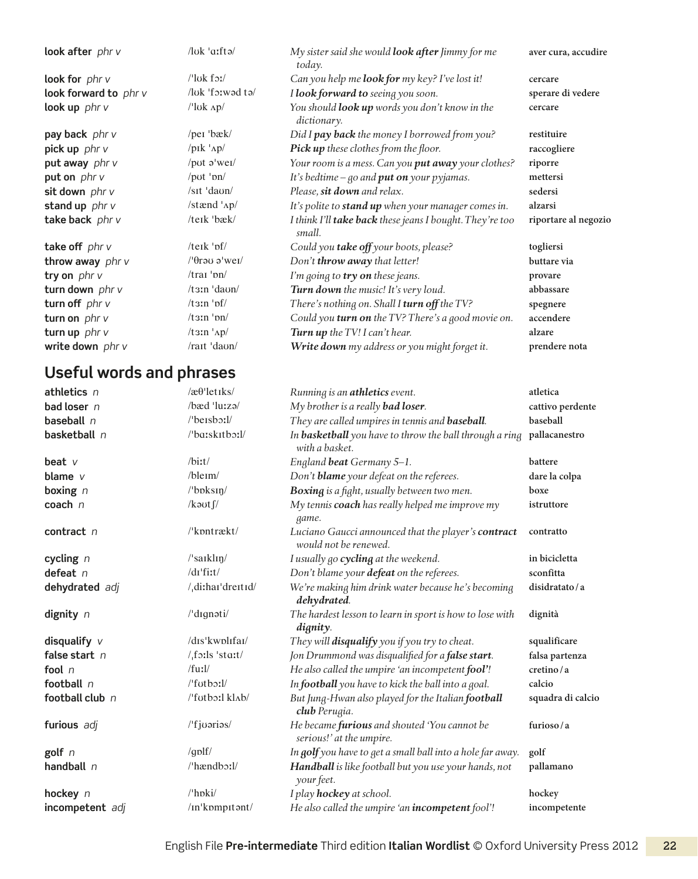| look after phr v      | $\frac{1}{\sqrt{2}}$                                                                                                                                                                                                                                                                                                                                                                                                                                       | My sister said she would <b>look after</b> Jimmy for me<br>today.    | aver cura, accudire  |
|-----------------------|------------------------------------------------------------------------------------------------------------------------------------------------------------------------------------------------------------------------------------------------------------------------------------------------------------------------------------------------------------------------------------------------------------------------------------------------------------|----------------------------------------------------------------------|----------------------|
| look for $phr$ v      | $\frac{1}{\log k}$ for $\frac{1}{\log k}$                                                                                                                                                                                                                                                                                                                                                                                                                  | Can you help me <b>look for</b> my key? I've lost it!                | cercare              |
| look forward to phr v | /luk 'forwad ta/                                                                                                                                                                                                                                                                                                                                                                                                                                           | I look forward to seeing you soon.                                   | sperare di vedere    |
| look up phr v         | $\frac{1}{\log \frac{1}{\log \frac{1}{\log \frac{1}{\log \frac{1}{\log \frac{1}{\log \frac{1}{\log \frac{1}{\log \frac{1}{\log \frac{1}{\log \frac{1}{\log \frac{1}{\log \frac{1}{\log \frac{1}{\log \frac{1}{\log \frac{1}{\log \frac{1}{\log \frac{1}{\log \frac{1}{\log \frac{1}{\log \frac{1}{\log \frac{1}{\log \frac{1}{\log \frac{1}{\log \frac{1}{\log \frac{1}{\log \frac{1}{\log \frac{1}{\log \frac{1}{\log \frac{1}{\log \frac{1}{\log \frac{$ | You should <b>look up</b> words you don't know in the<br>dictionary. | cercare              |
| pay back phr v        | /peɪ 'bæk/                                                                                                                                                                                                                                                                                                                                                                                                                                                 | Did I pay back the money I borrowed from you?                        | restituire           |
| pick up phr v         | $/$ pik $\Delta p/$                                                                                                                                                                                                                                                                                                                                                                                                                                        | Pick up these clothes from the floor.                                | raccogliere          |
| put away phr v        | /put $\sigma$ 'wei/                                                                                                                                                                                                                                                                                                                                                                                                                                        | Your room is a mess. Can you put away your clothes?                  | riporre              |
| put on $phr$ v        | /pot ' $bn/$                                                                                                                                                                                                                                                                                                                                                                                                                                               | It's bedtime – go and <b>put on</b> your pyjamas.                    | mettersi             |
| sit down phr v        | $\sqrt{\text{st}} \cdot \text{daun}$                                                                                                                                                                                                                                                                                                                                                                                                                       | Please, sit down and relax.                                          | sedersi              |
| stand up $phr$ v      | /stænd 'Ap/                                                                                                                                                                                                                                                                                                                                                                                                                                                | It's polite to stand up when your manager comes in.                  | alzarsi              |
| take back phr v       | /teik 'bæk/                                                                                                                                                                                                                                                                                                                                                                                                                                                | I think I'll take back these jeans I bought. They're too<br>small.   | riportare al negozio |
| take off $phr$ v      | /teik $\mathbf{b}$                                                                                                                                                                                                                                                                                                                                                                                                                                         | Could you take off your boots, please?                               | togliersi            |
| throw away phr v      | $/$ ' $\theta$ rəu ə'wei $/$                                                                                                                                                                                                                                                                                                                                                                                                                               | Don't throw away that letter!                                        | buttare via          |
| try on phr v          | $/$ trai 'pn $/$                                                                                                                                                                                                                                                                                                                                                                                                                                           | I'm going to try on these jeans.                                     | provare              |
| turn down phr v       | $/t \sin \theta$ daun/                                                                                                                                                                                                                                                                                                                                                                                                                                     | Turn down the music! It's very loud.                                 | abbassare            |
| turn off $phr$ v      | $/t \sin \theta$                                                                                                                                                                                                                                                                                                                                                                                                                                           | There's nothing on. Shall I turn off the TV?                         | spegnere             |
| turn on $phr$ $v$     | $/t \sin' \frac{\pi}{2}$                                                                                                                                                                                                                                                                                                                                                                                                                                   | Could you turn on the TV? There's a good movie on.                   | accendere            |
| turn up $phr$ v       | $/t \sin \frac{1}{2}$                                                                                                                                                                                                                                                                                                                                                                                                                                      | Turn up the TV! I can't hear.                                        | alzare               |
| write down phr v      | $/r$ ait 'daon/                                                                                                                                                                                                                                                                                                                                                                                                                                            | Write down my address or you might forget it.                        | prendere nota        |

| athletics $n$   | $\alpha$ <sup>-</sup> let <sub>I</sub> ks/ | Running is an <b>athletics</b> event.                                        | atletica          |
|-----------------|--------------------------------------------|------------------------------------------------------------------------------|-------------------|
| bad loser n     | /bæd 'luːzə/                               | My brother is a really <b>bad loser</b> .                                    | cattivo perdente  |
| baseball $n$    | $\theta$ beisborl/                         | They are called umpires in tennis and <b>baseball</b> .                      | baseball          |
| basketball n    | /'baːskɪtbɔːl/                             | In basketball you have to throw the ball through a ring<br>with a basket.    | pallacanestro     |
| beat $V$        | $/b$ it/                                   | England beat Germany 5-1.                                                    | battere           |
| blame $\nu$     | /bleim/                                    | Don't blame your defeat on the referees.                                     | dare la colpa     |
| boxing $n$      | $l$ boks $\eta$                            | Boxing is a fight, usually between two men.                                  | boxe              |
| $\cosh n$       | / $k$ aut $\int$ /                         | My tennis coach has really helped me improve my<br>game.                     | istruttore        |
| contract n      | /'kpntrækt/                                | Luciano Gaucci announced that the player's contract<br>would not be renewed. | contratto         |
| cycling $n$     | /'saiklin/                                 | I usually go cycling at the weekend.                                         | in bicicletta     |
| defeat n        | $/dr$ 'fiːt/                               | Don't blame your defeat on the referees.                                     | sconfitta         |
| dehydrated adj  | /di:hai'dreitid/                           | We're making him drink water because he's becoming<br>dehydrated.            | disidratato/a     |
| dignity $n$     | /'dɪgnəti/                                 | The hardest lesson to learn in sport is how to lose with<br>dignity.         | dignità           |
| disqualify $V$  | /dis'kwplifai/                             | They will disqualify you if you try to cheat.                                | squalificare      |
| false start $n$ | $/$ foils 'stait/                          | Jon Drummond was disqualified for a false start.                             | falsa partenza    |
| fool $n$        | /fu:1/                                     | He also called the umpire 'an incompetent fool'!                             | cretino/a         |
| football $n$    | $/$ futborl $/$                            | In football you have to kick the ball into a goal.                           | calcio            |
| football club n | /'futborl klab/                            | But Jung-Hwan also played for the Italian football<br>club Perugia.          | squadra di calcio |
| furious adj     | $l$ 'fjuarias/                             | He became furious and shouted 'You cannot be<br>serious!' at the umpire.     | furioso/a         |
| golf $n$        | /golf/                                     | In golf you have to get a small ball into a hole far away.                   | golf              |
| handball n      | /'hændboːl/                                | Handball is like football but you use your hands, not<br>your feet.          | pallamano         |
| hockey n        | $/$ hpki $/$                               | I play hockey at school.                                                     | hockey            |
| incompetent adj | /in'kompitont/                             | He also called the umpire 'an incompetent fool'!                             | incompetente      |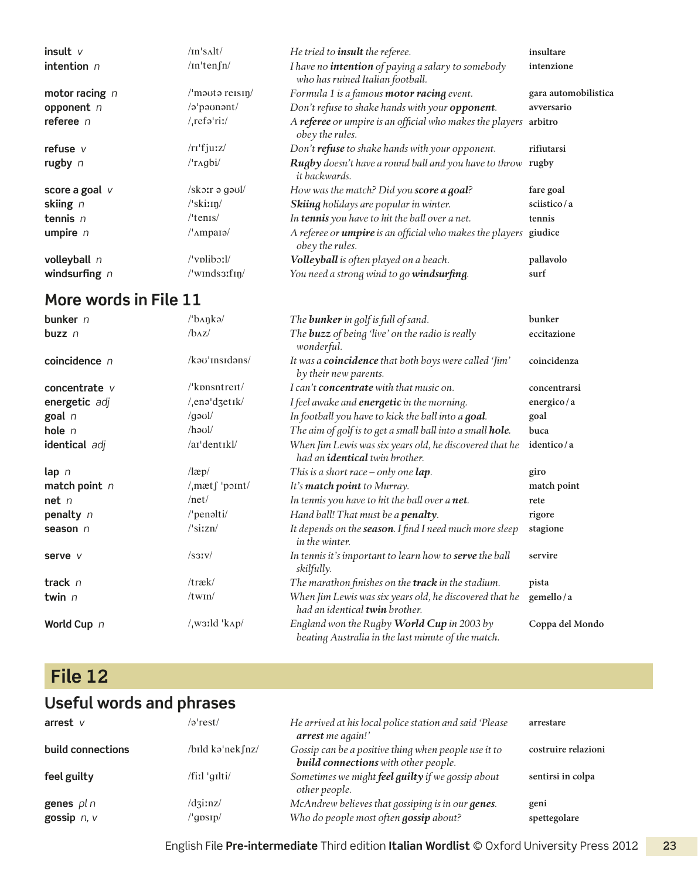| insult $V$         | $/$ In's $\lambda$ lt $/$                           | He tried to <i>insult</i> the referee.                                                        | insultare            |
|--------------------|-----------------------------------------------------|-----------------------------------------------------------------------------------------------|----------------------|
| intention $n$      | $/$ In'ten $\int$ n $/$                             | I have no <i>intention</i> of paying a salary to somebody<br>who has ruined Italian football. | intenzione           |
| motor racing $n$   | $\mu$ m <sub>auta</sub> reisin/                     | Formula 1 is a famous motor racing event.                                                     | gara automobilistica |
| opponent n         | /a'paunant/                                         | Don't refuse to shake hands with your opponent.                                               | avversario           |
| referee $n$        | $/$ <sub>ref</sub> $\sigma$ <sup>'</sup> riː/       | A referee or umpire is an official who makes the players<br>obey the rules.                   | arbitro              |
| refuse $V$         | $/rr$ 'fju:z $/$                                    | Don't refuse to shake hands with your opponent.                                               | rifiutarsi           |
| rugby $n$          | $/$ r $\alpha$ gbi/                                 | Rugby doesn't have a round ball and you have to throw rugby<br><i>it backwards.</i>           |                      |
| score a goal $\nu$ | $/sk$ orr ə gə $v$ l/                               | How was the match? Did you score a goal?                                                      | fare goal            |
| skiing $n$         | $\sqrt{\sinh(\theta)}$                              | Skiing holidays are popular in winter.                                                        | sciistico/a          |
| tennis $n$         | $/$ 'tenis $/$                                      | In tennis you have to hit the ball over a net.                                                | tennis               |
| umpire $n$         | $\mu_{\text{Ampa1}}$                                | A referee or <b>umpire</b> is an official who makes the players<br>obey the rules.            | giudice              |
| volleyball n       | $\sqrt{\text{vplib}}$ :                             | Volleyball is often played on a beach.                                                        | pallavolo            |
| windsurfing $n$    | $\sqrt{\text{winds3:}}$ fin $\sqrt{\text{winds3:}}$ | You need a strong wind to go windsurfing.                                                     | surf                 |

| bunker $n$       | /ˈbʌŋkə/                        | The <b>bunker</b> in golf is full of sand.                                                       | bunker          |
|------------------|---------------------------------|--------------------------------------------------------------------------------------------------|-----------------|
| buzz $n$         | $/b\alpha z/$                   | The <b>buzz</b> of being 'live' on the radio is really<br>wonderful.                             | eccitazione     |
| coincidence n    | /kəʊˈɪnsɪdəns/                  | It was a coincidence that both boys were called 'Jim'<br>by their new parents.                   | coincidenza     |
| concentrate v    | $\sqrt{k}$ pnsntreit $\sqrt{k}$ | I can't <b>concentrate</b> with that music on.                                                   | concentrarsi    |
| energetic adj    | $/$ <sub>,</sub> ena'dzetik/    | I feel awake and <b>energetic</b> in the morning.                                                | energico/a      |
| goal n           | $\gamma$ log $\gamma$           | In football you have to kick the ball into a goal.                                               | goal            |
| hole $n$         | $/$ haul $/$                    | The aim of golf is to get a small ball into a small hole.                                        | buca            |
| identical adj    | /ai'dentikl/                    | When Jim Lewis was six years old, he discovered that he<br>had an identical twin brother.        | identico/a      |
| $\mathsf{lap}$ n | $\lambda$                       | This is a short race – only one $lap.$                                                           | giro            |
| match point $n$  | $/$ <sub>m</sub> $ætf$ 'point/  | It's match point to Murray.                                                                      | match point     |
| net <sub>n</sub> | /net/                           | In tennis you have to hit the ball over a net.                                                   | rete            |
| penalty n        | /'penəlti/                      | Hand ball! That must be a <b>penalty</b> .                                                       | rigore          |
| season $n$       | $\sqrt{\sin z}$                 | It depends on the season. I find I need much more sleep<br>in the winter.                        | stagione        |
| serve v          | $\sqrt{\text{sav}}$             | In tennis it's important to learn how to serve the ball<br>skilfully.                            | servire         |
| track $n$        | $/$ træk $/$                    | The marathon finishes on the <b>track</b> in the stadium.                                        | pista           |
| twin n           | /twin/                          | When Jim Lewis was six years old, he discovered that he<br>had an identical twin brother.        | gemello/a       |
| World Cup n      | $/$ waild 'kap/                 | England won the Rugby World Cup in 2003 by<br>beating Australia in the last minute of the match. | Coppa del Mondo |

## **File 12**

## **Useful words and phrases**

| arrest $V$                  | $\sqrt{2}$ 'rest $\sqrt{2}$                                         | He arrived at his local police station and said 'Please<br>arrest me again!'                        | arrestare            |
|-----------------------------|---------------------------------------------------------------------|-----------------------------------------------------------------------------------------------------|----------------------|
| build connections           | /bild kə'nek fnz/                                                   | Gossip can be a positive thing when people use it to<br><b>build connections</b> with other people. | costruire relazioni  |
| feel guilty                 | /fiːl ˈqɪlti/                                                       | Sometimes we might feel guilty if we gossip about<br>other people.                                  | sentirsi in colpa    |
| genes pl n<br>gossip $n, v$ | $\frac{1}{\text{d} \cdot \text{sin} z}$<br>$^{\prime\prime}$ gpsip/ | McAndrew believes that gossiping is in our genes.<br>Who do people most often gossip about?         | geni<br>spettegolare |

English File Pre-intermediate Third edition Italian Wordlist © Oxford University Press 2012 23